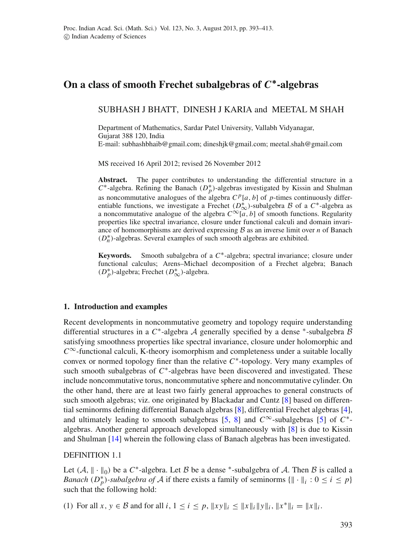# **On a class of smooth Frechet subalgebras of** *C***∗-algebras**

SUBHASH J BHATT, DINESH J KARIA and MEETAL M SHAH

Department of Mathematics, Sardar Patel University, Vallabh Vidyanagar, Gujarat 388 120, India E-mail: subhashbhaib@gmail.com; dineshjk@gmail.com; meetal.shah@gmail.com

MS received 16 April 2012; revised 26 November 2012

**Abstract.** The paper contributes to understanding the differential structure in a *C*∗-algebra. Refining the Banach (*D*<sup>∗</sup> *<sup>p</sup>*)-algebras investigated by Kissin and Shulman as noncommutative analogues of the algebra  $C^p[a, b]$  of p-times continuously differentiable functions, we investigate a Frechet  $(D_{\infty}^*)$ -subalgebra B of a  $C^*$ -algebra as a noncommutative analogue of the algebra  $C^{\infty}[\tilde{a}, b]$  of smooth functions. Regularity properties like spectral invariance, closure under functional calculi and domain invariance of homomorphisms are derived expressing  $\beta$  as an inverse limit over *n* of Banach (*D*<sup>∗</sup> *<sup>n</sup>* )-algebras. Several examples of such smooth algebras are exhibited.

**Keywords.** Smooth subalgebra of a *C*∗-algebra; spectral invariance; closure under functional calculus; Arens–Michael decomposition of a Frechet algebra; Banach (*D*<sup>∗</sup> *<sup>p</sup>*)-algebra; Frechet (*D*<sup>∗</sup> <sup>∞</sup>)-algebra.

## **1. Introduction and examples**

Recent developments in noncommutative geometry and topology require understanding differential structures in a  $C^*$ -algebra  $A$  generally specified by a dense <sup>∗</sup>-subalgebra  $B$ satisfying smoothness properties like spectral invariance, closure under holomorphic and  $C^{\infty}$ -functional calculi, K-theory isomorphism and completeness under a suitable locally convex or normed topology finer than the relative *C*∗-topology. Very many examples of such smooth subalgebras of *C*∗-algebras have been discovered and investigated. These include noncommutative torus, noncommutative sphere and noncommutative cylinder. On the other hand, there are at least two fairly general approaches to general constructs of such smooth algebras; viz. one originated by Blackadar and Cuntz [\[8\]](#page-19-0) based on differential seminorms defining differential Banach algebras [\[8](#page-19-0)], differential Frechet algebras [\[4](#page-19-1)], and ultimately leading to smooth subalgebras [\[5](#page-19-2), [8\]](#page-19-0) and  $C^{\infty}$ -subalgebras [\[5\]](#page-19-2) of  $C^*$ algebras. Another general approach developed simultaneously with [\[8\]](#page-19-0) is due to Kissin and Shulman [\[14](#page-20-0)] wherein the following class of Banach algebras has been investigated.

## DEFINITION 1.1

Let  $(A, \|\cdot\|_0)$  be a  $C^*$ -algebra. Let B be a dense <sup>\*</sup>-subalgebra of A. Then B is called a *Banach* ( $D_p^*$ )-subalgebra of A if there exists a family of seminorms  $\{\|\cdot\|_i : 0 \le i \le p\}$ such that the following hold:

(1) For all  $x, y \in \mathcal{B}$  and for all  $i, 1 \le i \le p$ ,  $||xy||_i \le ||x||_i ||y||_i$ ,  $||x^*||_i = ||x||_i$ .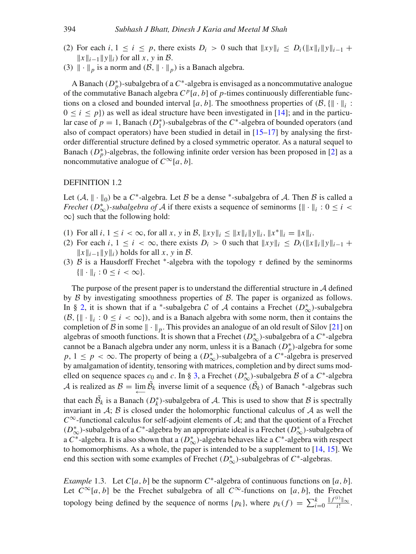- (2) For each  $i, 1 \le i \le p$ , there exists  $D_i > 0$  such that  $||xy||_i \le D_i(||x||_i||y||_{i-1} +$  $||x||_{i-1}$  $||y||_i$  *for all x, y in B.*
- (3)  $\|\cdot\|_p$  is a norm and  $(\mathcal{B}, \|\cdot\|_p)$  is a Banach algebra.

A Banach ( $D_p^*$ )-subalgebra of a  $C^*$ -algebra is envisaged as a noncommutative analogue of the commutative Banach algebra  $C^p[a, b]$  of p-times continuously differentiable functions on a closed and bounded interval [a, b]. The smoothness properties of  $(\mathcal{B}, \{ \} | \cdot \|_{i} :$  $0 \le i \le p$ }) as well as ideal structure have been investigated in [\[14\]](#page-20-0); and in the particular case of  $p = 1$ , Banach ( $D_1^*$ )-subalgebras of the  $C^*$ -algebra of bounded operators (and also of compact operators) have been studied in detail in [\[15](#page-20-1)[–17\]](#page-20-2) by analysing the firstorder differential structure defined by a closed symmetric operator. As a natural sequel to Banach  $(D_p^*)$ -algebras, the following infinite order version has been proposed in [\[2\]](#page-19-3) as a noncommutative analogue of  $C^{\infty}[a, b]$ .

#### DEFINITION 1.2

Let  $(A, \|\cdot\|_0)$  be a  $C^*$ -algebra. Let B be a dense \*-subalgebra of A. Then B is called a *Frechet* ( $D^*_{\infty}$ )*-subalgebra of* A if there exists a sequence of seminorms { $\|\cdot\|_i : 0 \le i$  $\infty$ } such that the following hold:

- (1) For all  $i, 1 \le i < \infty$ , for all  $x, y$  in  $\mathcal{B}, ||xy||_i \le ||x||_i ||y||_i, ||x^*||_i = ||x||_i$ .
- (2) For each *i*,  $1 \le i < \infty$ , there exists  $D_i > 0$  such that  $||xy||_i \le D_i(||x||_i||y||_{i-1}$  +  $||x||_{i-1}$   $||y||_i$  holds for all *x*, *y* in *B*.
- (3) B is a Hausdorff Frechet \*-algebra with the topology  $\tau$  defined by the seminorms  $\{\|\cdot\|_i : 0 \leq i < \infty\}.$

The purpose of the present paper is to understand the differential structure in  $A$  defined by  $\beta$  by investigating smoothness properties of  $\beta$ . The paper is organized as follows. In § [2,](#page-5-0) it is shown that if a <sup>\*</sup>-subalgebra C of A contains a Frechet  $(D^*_{\infty})$ -subalgebra  $(\mathcal{B}, \{ \| \cdot \|_i : 0 \le i < \infty \})$ , and is a Banach algebra with some norm, then it contains the completion of B in some  $\|\cdot\|_p$ . This provides an analogue of an old result of Silov [\[21\]](#page-20-3) on algebras of smooth functions. It is shown that a Frechet (*D*<sup>∗</sup> <sup>∞</sup>)-subalgebra of a *C*∗-algebra cannot be a Banach algebra under any norm, unless it is a Banach (*D*<sup>∗</sup> *<sup>p</sup>*)-algebra for some  $p, 1 \leq p < \infty$ . The property of being a  $(D^*_{\infty})$ -subalgebra of a  $C^*$ -algebra is preserved by amalgamation of identity, tensoring with matrices, completion and by direct sums modelled on sequence spaces  $c_0$  and  $c$ . In § [3,](#page-10-0) a Frechet  $(D^*_{\infty})$ -subalgebra  $B$  of a  $C^*$ -algebra A is realized as  $B = \lim_{k \to \infty} \tilde{B}_k$  inverse limit of a sequence  $(\tilde{B}_k)$  of Banach \*-algebras such that each  $\tilde{B_k}$  is a Banach  $(D_k^*)$ -subalgebra of A. This is used to show that B is spectrally invariant in  $A$ ;  $B$  is closed under the holomorphic functional calculus of  $A$  as well the  $C^{\infty}$ -functional calculus for self-adjoint elements of A; and that the quotient of a Frechet (*D*<sup>∗</sup> <sup>∞</sup>)-subalgebra of a *C*∗-algebra by an appropriate ideal is a Frechet (*D*<sup>∗</sup> <sup>∞</sup>)-subalgebra of a  $C^*$ -algebra. It is also shown that a  $(D^*_{\infty})$ -algebra behaves like a  $C^*$ -algebra with respect to homomorphisms. As a whole, the paper is intended to be a supplement to  $[14, 15]$  $[14, 15]$  $[14, 15]$ . We end this section with some examples of Frechet (*D*<sup>∗</sup> <sup>∞</sup>)-subalgebras of *C*∗-algebras.

*Example* 1.3. Let  $C[a, b]$  be the supnorm  $C^*$ -algebra of continuous functions on [*a*, *b*]. Let  $C^{\infty}[a, b]$  be the Frechet subalgebra of all  $C^{\infty}$ -functions on [*a*, *b*], the Frechet topology being defined by the sequence of norms  $\{p_k\}$ , where  $p_k(f) = \sum_{i=0}^k \frac{\|f^{(i)}\|_{\infty}}{i!}$ .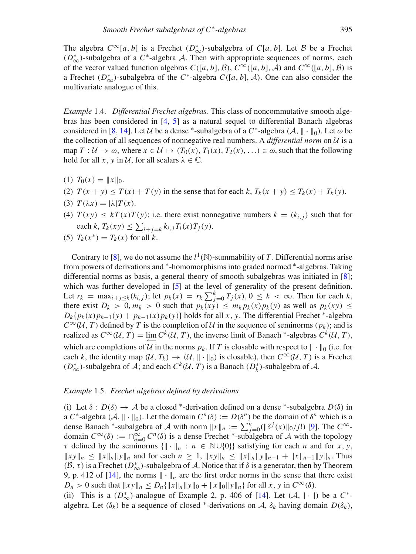The algebra  $C^{\infty}[a, b]$  is a Frechet  $(D^*_{\infty})$ -subalgebra of  $C[a, b]$ . Let B be a Frechet (*D*<sup>∗</sup> <sup>∞</sup>)-subalgebra of a *C*∗-algebra A. Then with appropriate sequences of norms, each of the vector valued function algebras  $C([a, b], \mathcal{B})$ ,  $C^{\infty}([a, b], \mathcal{A})$  and  $C^{\infty}([a, b], \mathcal{B})$  is a Frechet ( $D^*_{\infty}$ )-subalgebra of the  $C^*$ -algebra  $C([a, b], \mathcal{A})$ . One can also consider the multivariate analogue of this.

*Example* 1.4. *Differential Frechet algebras.* This class of noncommutative smooth algebras has been considered in [\[4](#page-19-1), [5\]](#page-19-2) as a natural sequel to differential Banach algebras considered in [\[8,](#page-19-0) [14\]](#page-20-0). Let U be a dense \*-subalgebra of a  $C^*$ -algebra  $(A, \|\cdot\|_0)$ . Let  $\omega$  be the collection of all sequences of nonnegative real numbers. A *differential norm* on U is a map  $T: \mathcal{U} \to \omega$ , where  $x \in \mathcal{U} \mapsto (T_0(x), T_1(x), T_2(x), ...) \in \omega$ , such that the following hold for all *x*, *y* in *U*, for all scalars  $\lambda \in \mathbb{C}$ .

- (1)  $T_0(x) = ||x||_0.$
- (2)  $T(x + y) \leq T(x) + T(y)$  in the sense that for each  $k, T_k(x + y) \leq T_k(x) + T_k(y)$ .
- (3)  $T(\lambda x) = |\lambda| T(x)$ .
- (4)  $T(xy) \leq kT(x)T(y)$ ; i.e. there exist nonnegative numbers  $k = (k_{i,j})$  such that for  $\text{each } k, T_k(xy) \leq \sum_{i+j=k} k_{i,j} T_i(x) T_j(y).$
- (5)  $T_k(x^*) = T_k(x)$  for all *k*.

Contrary to [\[8\]](#page-19-0), we do not assume the  $l^1(\mathbb{N})$ -summability of T. Differential norms arise from powers of derivations and <sup>∗</sup>-homomorphisms into graded normed <sup>∗</sup>-algebras. Taking differential norms as basis, a general theory of smooth subalgebras was initiated in [\[8](#page-19-0)]; which was further developed in [\[5\]](#page-19-2) at the level of generality of the present definition. Let  $r_k = \max_{i+j \le k} (k_{i,j})$ ; let  $p_k(x) = r_k \sum_{j=0}^k T_j(x), 0 \le k < \infty$ . Then for each *k*, there exist  $D_k > 0$ ,  $m_k > 0$  such that  $p_k(x) \leq m_k p_k(x) p_k(y)$  as well as  $p_k(xy) \leq$  $D_k\{p_k(x)p_{k-1}(y) + p_{k-1}(x)p_k(y)\}\$  holds for all *x*, *y*. The differential Frechet <sup>\*</sup>-algebra  $C^{\infty}(\mathcal{U}, T)$  defined by *T* is the completion of *U* in the sequence of seminorms (*p<sub>k</sub>*); and is realized as  $C^{\infty}(\mathcal{U}, T) = \lim_{\longleftarrow} C^{k}(\mathcal{U}, T)$ , the inverse limit of Banach <sup>∗</sup>-algebras  $C^{k}(\mathcal{U}, T)$ , which are completions of  $\mathcal U$  in the norms  $p_k$ . If T is closable with respect to  $\|\cdot\|_0$  (i.e. for each *k*, the identity map  $(U, T_k) \rightarrow (U, \|\cdot\|_0)$  is closable), then  $C^{\infty}(U, T)$  is a Frechet ( $D^*_{\infty}$ )-subalgebra of A; and each  $C^k$ (U, T) is a Banach ( $D^*$ <sub>k</sub>)-subalgebra of A.

#### *Example* 1.5. *Frechet algebras defined by derivations*

(i) Let  $\delta : D(\delta) \to A$  be a closed \*-derivation defined on a dense \*-subalgebra  $D(\delta)$  in a *C*<sup>\*</sup>-algebra (*A*,  $\|\cdot\|_0$ ). Let the domain  $C^n(\delta) := D(\delta^n)$  be the domain of  $\delta^n$  which is a dense Banach \*-subalgebra of A with norm  $||x||_n := \sum_{j=0}^n (||\delta^j(x)||_0/j!)$  [\[9](#page-19-4)]. The  $C^\infty$ domain  $C^{\infty}(\delta) := \bigcap_{n=0}^{\infty} C^n(\delta)$  is a dense Frechet <sup>\*</sup>-subalgebra of A with the topology  $\tau$  defined by the seminorms  $\{ \| \cdot \|_n : n \in \mathbb{N} \cup \{0\} \}$  satisfying for each *n* and for *x*, *y*,  $||xy||_n \le ||x||_n ||y||_n$  and for each  $n \ge 1$ ,  $||xy||_n \le ||x||_n ||y||_{n-1} + ||x||_{n-1} ||y||_n$ . Thus ( $\mathcal{B}$ ,  $\tau$ ) is a Frechet ( $D_{\infty}^*$ )-subalgebra of A. Notice that if  $\delta$  is a generator, then by Theorem 9, p. 412 of [\[14\]](#page-20-0), the norms  $\|\cdot\|_n$  are the first order norms in the sense that there exist  $D_n > 0$  such that  $||xy||_n \le D_n \{||x||_n ||y||_0 + ||x||_0 ||y||_n\}$  for all *x*, *y* in  $C^{\infty}(\delta)$ .

(ii) This is a  $(D^*_{\infty})$ -analogue of Example 2, p. 406 of [\[14](#page-20-0)]. Let  $(\mathcal{A}, \|\cdot\|)$  be a  $C^*$ algebra. Let  $(\delta_k)$  be a sequence of closed \*-derivations on A,  $\delta_k$  having domain  $D(\delta_k)$ ,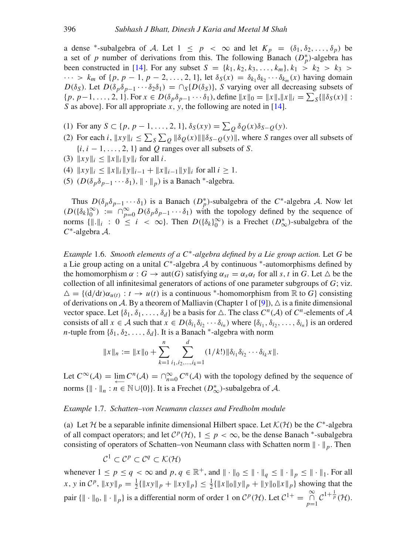a dense <sup>\*</sup>-subalgebra of A. Let  $1 \leq p \leq \infty$  and let  $K_p = (\delta_1, \delta_2, \ldots, \delta_p)$  be a set of *p* number of derivations from this. The following Banach  $(D_p^*)$ -algebra has been constructed in [\[14\]](#page-20-0). For any subset  $S = \{k_1, k_2, k_3, ..., k_m\}, k_1 > k_2 > k_3 > k_1$  $\cdots > k_m$  of  $\{p, p-1, p-2, \ldots, 2, 1\}$ , let  $\delta_S(x) = \delta_{k_1} \delta_{k_2} \cdots \delta_{k_m}(x)$  having domain *D*( $\delta$ *S*). Let *D*( $\delta_p \delta_{p-1} \cdots \delta_2 \delta_1$ ) = ∩*S*{*D*( $\delta$ *S*)}, *S* varying over all decreasing subsets of  ${p, p-1, ..., 2, 1}.$  For  $x \in D(\delta_p \delta_{p-1} \cdots \delta_1)$ , define  $||x||_0 = ||x||, ||x||_i = \sum_{S} {||\delta_S(x)||$ *S* as above}. For all appropriate *x*, *y*, the following are noted in [\[14\]](#page-20-0).

- (1) For any *S* ⊂ {*p*, *p* − 1, ..., 2, 1},  $δ_S(xy) = ∑_Q δ_Q(x)δ_{S-Q}(y)$ .
- (2) For each *i*,  $||xy||_i \le \sum_S \sum_Q ||\delta_Q(x)|| ||\delta_{S-Q}(y)||$ , where *S* ranges over all subsets of  ${i, i - 1, \ldots, 2, 1}$  and *O* ranges over all subsets of *S*.
- (3)  $||xy||_i \leq ||x||_i ||y||_i$  for all *i*.
- (4)  $||xy||_i \le ||x||_i ||y||_{i-1} + ||x||_{i-1} ||y||_i$  for all  $i \ge 1$ .
- (5)  $(D(\delta_p \delta_{p-1} \cdots \delta_1), \| \cdot \|_p)$  is a Banach <sup>\*</sup>-algebra.

Thus  $D(\delta_p \delta_{p-1} \cdots \delta_1)$  is a Banach  $(D_p^*)$ -subalgebra of the *C*<sup>∗</sup>-algebra *A*. Now let  $(D({\delta_k})_0^{\infty}) := \bigcap_{p=0}^{\infty} D({\delta_p}{\delta_{p-1}} \cdots {\delta_1})$  with the topology defined by the sequence of norms  $\{\Vert . \Vert_i : 0 \le i < \infty \}$ . Then  $D(\{\delta_k\}_{0}^{\infty})$  is a Frechet  $(D_{\infty}^*)$ -subalgebra of the *C*∗-algebra A.

*Example* 1.6. *Smooth elements of a C*∗*-algebra defined by a Lie group action.* Let *G* be a Lie group acting on a unital  $C^*$ -algebra A by continuous <sup>\*</sup>-automorphisms defined by the homomorphism  $\alpha$  :  $G \to \text{aut}(G)$  satisfying  $\alpha_{st} = \alpha_s \alpha_t$  for all *s*, *t* in *G*. Let  $\triangle$  be the collection of all infinitesimal generators of actions of one parameter subgroups of *G*; viz.  $\Delta = \{(d/dt)\alpha_{u(t)} : t \to u(t) \text{ is a continuous *-homomorphism from } \mathbb{R} \text{ to } G\}$  consisting of derivations on A. By a theorem of Malliavin (Chapter 1 of [\[9](#page-19-4)]),  $\triangle$  is a finite dimensional vector space. Let  $\{\delta_1, \delta_1, \ldots, \delta_d\}$  be a basis for  $\triangle$ . The class  $C^n(\mathcal{A})$  of  $C^n$ -elements of  $\mathcal A$ consists of all  $x \in A$  such that  $x \in D(\delta_{i_1} \delta_{i_2} \cdots \delta_{i_n})$  where  $\{\delta_{i_1}, \delta_{i_2}, \ldots, \delta_{i_n}\}$  is an ordered *n*-tuple from  $\{\delta_1, \delta_2, \ldots, \delta_d\}$ . It is a Banach  $*$ -algebra with norm

$$
||x||_n := ||x||_0 + \sum_{k=1}^n \sum_{i_1, i_2, \dots, i_k=1}^d (1/k!) ||\delta_{i_1}\delta_{i_2}\cdots \delta_{i_k}x||.
$$

Let  $C^{\infty}(\mathcal{A}) = \lim_{\leftarrow} C^n(\mathcal{A}) = \bigcap_{n=0}^{\infty} C^n(\mathcal{A})$  with the topology defined by the sequence of norms  $\{ \| \cdot \|_n : n \in \mathbb{N} \cup \{0\} \}$ . It is a Frechet  $(D^*_{\infty})$ -subalgebra of A.

#### *Example* 1.7. *Schatten–von Neumann classes and Fredholm module*

(a) Let H be a separable infinite dimensional Hilbert space. Let  $\mathcal{K}(\mathcal{H})$  be the  $C^*$ -algebra of all compact operators; and let  $C^p(\mathcal{H})$ ,  $1 \leq p < \infty$ , be the dense Banach <sup>∗</sup>-subalgebra consisting of operators of Schatten–von Neumann class with Schatten norm  $\|\cdot\|_p$ . Then

$$
\mathcal{C}^1 \subset \mathcal{C}^p \subset \mathcal{C}^q \subset \mathcal{K}(\mathcal{H})
$$

whenever  $1 \le p \le q < \infty$  and  $p, q \in \mathbb{R}^+$ , and  $\|\cdot\|_0 \le \|\cdot\|_q \le \|\cdot\|_p \le \|\cdot\|_1$ . For all  $f(x, y)$  in  $\mathcal{C}^p$ ,  $||xy||_p = \frac{1}{2} {||xy||_p + ||xy||_p} \le \frac{1}{2} {||x||_0 ||y||_p + ||y||_0 ||x||_p}$  showing that the pair  $\{\|\cdot\|_0, \|\cdot\|_p\}$  is a differential norm of order 1 on  $\mathcal{C}^p(\mathcal{H})$ . Let  $\mathcal{C}^{1+} = \bigcap_{p=1}^{\infty} \mathcal{C}^{1+\frac{1}{p}}(\mathcal{H})$ .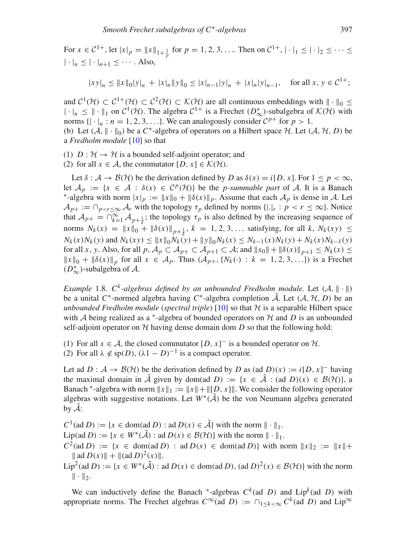For  $x \in C^{1+}$ , let  $|x|_p = ||x||_{1+\frac{1}{p}}$  for  $p = 1, 2, 3, ...$  Then on  $C^{1+}$ ,  $|\cdot|_1 \leq |\cdot|_2 \leq ... \leq$  $|\cdot|_n \leq |\cdot|_{n+1} \leq \cdots$ . Also,

$$
|xy|_n \le ||x||_0 |y|_n + |x|_n ||y||_0 \le |x|_{n-1} |y|_n + |x|_n |y|_{n-1}, \quad \text{for all } x, y \in \mathcal{C}^{1+};
$$

and  $C^1(\mathcal{H}) \subset C^{1+}(\mathcal{H}) \subset C^2(\mathcal{H}) \subset \mathcal{K}(\mathcal{H})$  are all continuous embeddings with  $\|\cdot\|_0 \leq$  $|\cdot|_n \leq ||\cdot||_1$  on  $C^1(\mathcal{H})$ . The algebra  $C^{1+}$  is a Frechet  $(D^*_{\infty})$ -subalgebra of  $\mathcal{K}(\mathcal{H})$  with norms  $\{\vert \cdot \vert_n : n = 1, 2, 3, \ldots \}$ . We can analogously consider  $C^{p+}$  for  $p > 1$ . (b) Let  $(A, \|\cdot\|_0)$  be a  $C^*$ -algebra of operators on a Hilbert space H. Let  $(A, H, D)$  be

a *Fredholm module* [\[10](#page-19-5)] so that

(1)  $D : \mathcal{H} \to \mathcal{H}$  is a bounded self-adjoint operator; and

(2) for all  $x \in A$ , the commutator  $[D, x] \in \mathcal{K}(\mathcal{H})$ .

Let  $\delta : A \to B(H)$  be the derivation defined by *D* as  $\delta(x) = i[D, x]$ . For  $1 \le p < \infty$ , let  $A_p := \{x \in A : \delta(x) \in C^p(\mathcal{H})\}$  be the *p*-summable part of A. It is a Banach \*-algebra with norm  $|x|_p := ||x||_0 + ||\delta(x)||_p$ . Assume that each  $A_p$  is dense in A. Let  $A_{p+} := \bigcap_{p < r \leq \infty} A_r$  with the topology  $\tau_p$  defined by norms  $\{ | \cdot |_r : p < r \leq \infty \}$ . Notice that  $A_{p+} = \bigcap_{k=1}^{\infty} A_{p+\frac{1}{k}}$ ; the topology  $\tau_p$  is also defined by the increasing sequence of norms  $N_k(x) = \|x\|_0 + \|\delta(x)\|_{p+\frac{1}{k}}, k = 1, 2, 3, ...$  satisfying, for all *k*,  $N_k(xy) \le$  $N_k(x)N_k(y)$  and  $N_k(xy) \le ||x||_0 N_k(y) + ||y||_0 N_k(x) \le N_{k-1}(x)N_k(y) + N_k(x)N_{k-1}(y)$ for all *x*, *y*. Also, for all  $p$ ,  $\mathcal{A}_p \subset \mathcal{A}_{p+1} \subset \mathcal{A}$ ; and  $||x_0|| + ||\delta(x)||_{p+1} \leq N_k(x) \leq$  $||x||_0 + ||\delta(x)||_p$  for all  $x \in A_p$ . Thus  $(A_{p+}, \{N_k(\cdot) : k = 1, 2, 3, \ldots\})$  is a Frechet ( $D^*_{\infty}$ )-subalgebra of  $A$ .

*Example* 1.8.  $C^k$ -algebras defined by an unbounded Fredholm module. Let  $(A, \|\cdot\|)$ be a unital  $C^*$ -normed algebra having  $C^*$ -algebra completion  $\tilde{A}$ . Let  $(A, \mathcal{H}, D)$  be an *unbounded Fredholm module* (*spectral triple*) [\[10\]](#page-19-5) so that H is a separable Hilbert space with *A* being realized as a <sup>∗</sup>-algebra of bounded operators on *H* and *D* is an unbounded self-adjoint operator on  $H$  having dense domain dom  $D$  so that the following hold:

(1) For all  $x \in A$ , the closed commutator  $[D, x]$ <sup>-</sup> is a bounded operator on  $H$ .

(2) For all  $\lambda \notin sp(D)$ ,  $(\lambda 1 - D)^{-1}$  is a compact operator.

Let ad *D* :  $A \rightarrow \mathcal{B}(\mathcal{H})$  be the derivation defined by *D* as (ad *D*)(*x*) := *i*[*D*, *x*]<sup>-</sup> having the maximal domain in  $\tilde{A}$  given by dom(ad *D*) := { $x \in \tilde{A}$  : (ad *D*)( $x$ )  $\in B(H)$ }, a Banach <sup>∗</sup>-algebra with norm  $||x||_1 := ||x|| + ||[D, x]||$ . We consider the following operator algebras with suggestive notations. Let  $W^*(A)$  be the von Neumann algebra generated by  $A$ :

 $C^1(\text{ad }D) := \{x \in \text{dom}(\text{ad }D) : \text{ad }D(x) \in \tilde{A}\}\$  with the norm  $\|\cdot\|_1$ . Lip(ad *D*) := { $x \in W^*(\tilde{A})$  : ad  $D(x) \in B(H)$ } with the norm  $\|\cdot\|_1$ .  $C^2(\text{ad }D) := \{x \in \text{dom}(\text{ad }D) : \text{ad }D(x) \in \text{dom}(\text{ad }D)\}\$  with norm  $||x||_2 := ||x|| +$  $\|$  ad  $D(x)\| + \|$  (ad  $D)^2(x)\|.$ Lip<sup>2</sup>(ad *D*) := {*x* ∈ *W*<sup>∗</sup>( $\tilde{A}$ ) : ad *D*(*x*) ∈ dom(ad *D*), (ad *D*)<sup>2</sup>(*x*) ∈ *B*( $\mathcal{H}$ )} with the norm  $\|\cdot\|_2$ .

We can inductively define the Banach <sup>\*</sup>-algebras  $C^k$  (ad *D*) and Lip<sup>k</sup> (ad *D*) with appropriate norms. The Frechet algebras  $C^{\infty}$  (ad *D*) :=  $\cap_{1 \leq k < \infty} C^k$  (ad *D*) and Lip<sup>∞</sup>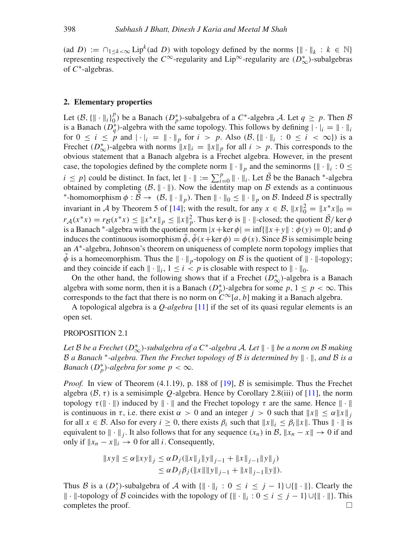(ad *D*) :=  $\bigcap_{1 \leq k < \infty}$  Lip<sup>k</sup>(ad *D*) with topology defined by the norms  $\{\|\cdot\|_k : k \in \mathbb{N}\}\$ representing respectively the  $C^{\infty}$ -regularity and Lip<sup>∞</sup>-regularity are  $(D_{\infty}^{*})$ -subalgebras of *C*∗-algebras.

## <span id="page-5-0"></span>**2. Elementary properties**

Let  $(B, \{\|\cdot\|_i\}_0^p)$  be a Banach  $(D_p^*)$ -subalgebra of a  $C^*$ -algebra A. Let  $q \ge p$ . Then B is a Banach  $(D_q^*)$ -algebra with the same topology. This follows by defining  $|\cdot|_i = ||\cdot||_i$ for  $0 \le i \le p$  and  $|\cdot|_i = ||\cdot||_p$  for  $i > p$ . Also  $(\mathcal{B}, {\{\|\cdot\|_i : 0 \le i < \infty\}})$  is a Frechet  $(D_{\infty}^*)$ -algebra with norms  $||x||_i = ||x||_p$  for all  $i > p$ . This corresponds to the obvious statement that a Banach algebra is a Frechet algebra. However, in the present case, the topologies defined by the complete norm  $\|\cdot\|_p$  and the seminorms  $\{\|\cdot\|_i : 0 \leq \}$ *i* ≤ *p*} could be distinct. In fact, let  $\|\cdot\| := \sum_{i=0}^{p} \|\cdot\|_i$ . Let  $\tilde{B}$  be the Banach \*-algebra obtained by completing  $(B, \|\cdot\|)$ . Now the identity map on B extends as a continuous \*-homomorphism  $\phi : \tilde{B} \to (B, \|\cdot\|_p)$ . Then  $\|\cdot\|_0 \le \|\cdot\|_p$  on B. Indeed B is spectrally invariant in A by Theorem 5 of [\[14](#page-20-0)]; with the result, for any  $x \in \mathcal{B}$ ,  $||x||_0^2 = ||x^*x||_0 =$  $r_A(x^*x) = r_B(x^*x) \le ||x^*x||_p \le ||x||_p^2$ . Thus ker  $\phi$  is  $||\cdot||$ -closed; the quotient  $\tilde{\mathcal{B}}$ / ker  $\phi$ is a Banach <sup>\*</sup>-algebra with the quotient norm  $|x + \text{ker }\phi| = \inf\{|x + y\| : \phi(y) = 0\}$ ; and  $\phi$ induces the continuous isomorphism  $\tilde{\phi}$ ,  $\tilde{\phi}(x + \ker \phi) = \phi(x)$ . Since B is semisimple being an *A*∗-algebra, Johnson's theorem on uniqueness of complete norm topology implies that  $\tilde{\phi}$  is a homeomorphism. Thus the  $\|\cdot\|_p$ -topology on B is the quotient of  $\|\cdot\|$ -topology; and they coincide if each  $\|\cdot\|_i$ ,  $1 \le i < p$  is closable with respect to  $\|\cdot\|_0$ .

On the other hand, the following shows that if a Frechet  $(D^*_{\infty})$ -algebra is a Banach algebra with some norm, then it is a Banach  $(D_p^*)$ -algebra for some  $p, 1 \le p < \infty$ . This corresponds to the fact that there is no norm on  $C^{\infty}[a, b]$  making it a Banach algebra.

A topological algebra is a *Q-algebra* [\[11](#page-19-6)] if the set of its quasi regular elements is an open set.

#### PROPOSITION 2.1

*Let* B *be a Frechet* (*D*<sup>∗</sup> <sup>∞</sup>)*-subalgebra of a C*∗*-algebra* A*. Let* · *be a norm on* B *making B* a Banach <sup>∗</sup>-algebra. Then the Frechet topology of *B* is determined by  $\| \cdot \|$ , and *B* is a *Banach* ( $D_p^*$ )-algebra for some  $p < \infty$ .

*Proof.* In view of Theorem (4.1.19), p. 188 of [\[19](#page-20-4)],  $\beta$  is semisimple. Thus the Frechet algebra  $(\mathcal{B}, \tau)$  is a semisimple *Q*-algebra. Hence by Corollary 2.8(iii) of [\[11](#page-19-6)], the norm topology  $\tau(\|\cdot\|)$  induced by  $\|\cdot\|$  and the Frechet topology  $\tau$  are the same. Hence  $\|\cdot\|$ is continuous in  $\tau$ , i.e. there exist  $\alpha > 0$  and an integer  $j > 0$  such that  $||x|| \leq \alpha ||x||_j$ for all  $x \in \mathcal{B}$ . Also for every  $i \geq 0$ , there exists  $\beta_i$  such that  $||x||_i \leq \beta_i ||x||$ . Thus  $|| \cdot ||$  is equivalent to  $\|\cdot\|_i$ . It also follows that for any sequence  $(x_n)$  in B,  $\|x_n - x\| \to 0$  if and only if  $||x_n - x||_i$  → 0 for all *i*. Consequently,

$$
||xy|| \le \alpha ||xy||_j \le \alpha D_j(||x||_j ||y||_{j-1} + ||x||_{j-1} ||y||_j)
$$
  
\n
$$
\le \alpha D_j \beta_j(||x|| ||y||_{j-1} + ||x||_{j-1} ||y||).
$$

Thus B is a  $(D_j^*)$ -subalgebra of A with  $\{\|\cdot\|_i : 0 \le i \le j - 1\} \cup \{\|\cdot\|\}$ . Clearly the  $\| \cdot \|$ -topology of B coincides with the topology of  $\{ \| \cdot \|_i : 0 \le i \le j - 1 \}$ ∪ $\{ \| \cdot \| \}$ . This completes the proof.  $\Box$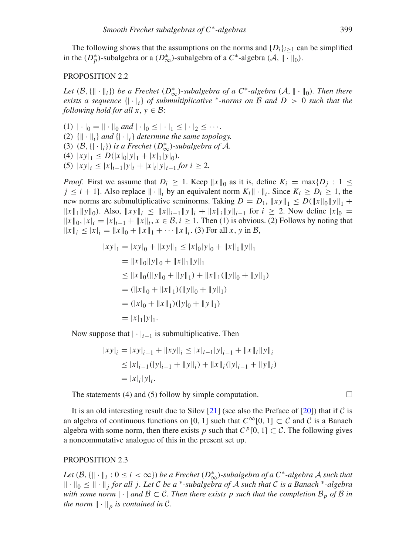The following shows that the assumptions on the norms and  $\{D_i\}_{i\geq 1}$  can be simplified in the  $(D_p^*)$ -subalgebra or a  $(D_{\infty}^*)$ -subalgebra of a  $C^*$ -algebra  $(\mathcal{A}, \|\cdot\|_0)$ .

## PROPOSITION 2.2

Let  $(\mathcal{B}, \{\|\cdot\|_i\})$  be a Frechet  $(D^*_{\infty})$ -subalgebra of a C<sup>∗</sup>-algebra  $(\mathcal{A}, \|\cdot\|_0)$ . Then there *exists a sequence*  $\{\cdot |i\}$  *of submultiplicative*  $*$ *-norms on*  $\beta$  *and*  $D > 0$  *such that the following hold for all*  $x, y \in \mathcal{B}$ *:* 

(1)  $|\cdot|_0 = ||\cdot||_0$  and  $|\cdot|_0 \leq |\cdot|_1 \leq |\cdot|_2 \leq \cdots$ . (2)  $\{ \| \cdot \|_i \}$  *and*  $\{ \| \cdot \|_i \}$  *determine the same topology.* (3)  $(\mathcal{B}, \{|\cdot|_i\})$  *is a Frechet*  $(D^*_{\infty})$ *-subalgebra of A.* (4)  $|xy|_1 \leq D(|x|_0|y|_1 + |x|_1|y|_0)$ . (5) |*xy*|*<sup>i</sup>* ≤ |*x*|*i*−1|*y*|*<sup>i</sup>* + |*x*|*i*|*y*|*i*−<sup>1</sup> *for i* ≥ 2*.*

*Proof.* First we assume that  $D_i \geq 1$ . Keep  $||x||_0$  as it is, define  $K_i = \max\{D_i : 1 \leq i \leq n\}$  $j \leq i + 1$ . Also replace  $\|\cdot\|_i$  by an equivalent norm  $K_i \|\cdot\|_i$ . Since  $K_i \geq D_i \geq 1$ , the new norms are submultiplicative seminorms. Taking  $D = D_1$ ,  $||xy||_1 \leq D(||x||_0 ||y||_1 +$  $||x||_1 ||y||_0$ ). Also,  $||xy||_i$  ≤  $||x||_{i-1} ||y||_i + ||x||_i ||y||_{i-1}$  for  $i ≥ 2$ . Now define  $|x|_0$  =  $||x||_0, |x|_i = |x|_{i-1} + ||x||_i, x \in \mathcal{B}, i \ge 1$ . Then (1) is obvious. (2) Follows by noting that  $||x||_i \le |x|_i = ||x||_0 + ||x||_1 + \cdots + ||x||_i$ . (3) For all *x*, *y* in *B*,

$$
|xy|_1 = |xy|_0 + ||xy||_1 \le |x|_0|y|_0 + ||x||_1||y||_1
$$
  
\n
$$
= ||x||_0||y||_0 + ||x||_1||y||_1
$$
  
\n
$$
\le ||x||_0(||y||_0 + ||y||_1) + ||x||_1(||y||_0 + ||y||_1)
$$
  
\n
$$
= (||x||_0 + ||x||_1)(||y||_0 + ||y||_1)
$$
  
\n
$$
= (|x|_0 + ||x||_1)(|y|_0 + ||y||_1)
$$
  
\n
$$
= |x|_1|y|_1.
$$

Now suppose that  $|\cdot|_{i-1}$  is submultiplicative. Then

$$
|xy|_i = |xy|_{i-1} + \|xy\|_i \le |x|_{i-1}|y|_{i-1} + \|x\|_i \|y\|_i
$$
  
\n
$$
\le |x|_{i-1} (|y|_{i-1} + \|y\|_i) + \|x\|_i (|y|_{i-1} + \|y\|_i)
$$
  
\n
$$
= |x|_i |y|_i.
$$

The statements (4) and (5) follow by simple computation.  $\Box$ 

It is an old interesting result due to Silov  $[21]$  (see also the Preface of  $[20]$ ) that if C is an algebra of continuous functions on [0, 1] such that  $C^{\infty}[0, 1] \subset \mathcal{C}$  and  $\mathcal{C}$  is a Banach algebra with some norm, then there exists *p* such that  $C^p[0, 1] \subset \mathcal{C}$ . The following gives a noncommutative analogue of this in the present set up.

#### PROPOSITION 2.3

Let  $(\mathcal{B}, \{\|\cdot\|_i : 0 \leq i < \infty\})$  be a Frechet  $(D^*_{\infty})$ -subalgebra of a C<sup>∗</sup>-algebra A such that ·<sup>0</sup> ≤·*<sup>j</sup> for all j. Let* C *be a* <sup>∗</sup>*-subalgebra of* A *such that* C *is a Banach* <sup>∗</sup>*-algebra with some norm*  $|\cdot|$  *and*  $\mathcal{B} \subset \mathcal{C}$ *. Then there exists p such that the completion*  $\mathcal{B}_p$  *of*  $\mathcal{B}$  *in the norm*  $\|\cdot\|_p$  *is contained in C.*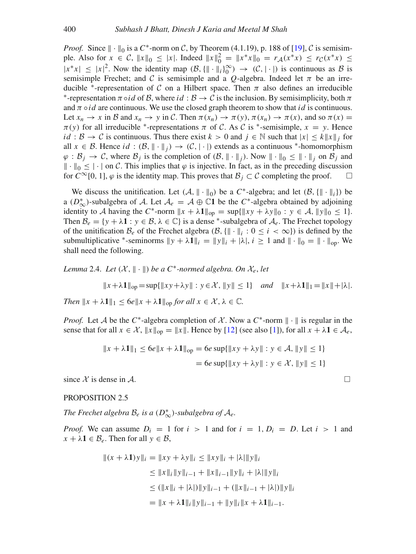*Proof.* Since  $\|\cdot\|_0$  is a  $C^*$ -norm on C, by Theorem (4.1.19), p. 188 of [\[19\]](#page-20-4), C is semisimple. Also for  $x \in C$ ,  $||x||_0 \le |x|$ . Indeed  $||x||_0^2 = ||x^*x||_0 = r_A(x^*x) \le r_C(x^*x) \le$  $|x^*x| \le |x|^2$ . Now the identity map  $(\mathcal{B}, \{ \| \cdot \|_i\}_{0}^{\infty}) \to (\mathcal{C}, | \cdot |)$  is continuous as  $\mathcal{B}$  is semisimple Frechet; and C is semisimple and a *Q*-algebra. Indeed let  $\pi$  be an irreducible \*-representation of *C* on a Hilbert space. Then  $\pi$  also defines an irreducible \*-representation  $\pi \circ id$  of *B*, where *id* : *B* → *C* is the inclusion. By semisimplicity, both π and  $\pi \circ id$  are continuous. We use the closed graph theorem to show that *id* is continuous. Let  $x_n \to x$  in B and  $x_n \to y$  in C. Then  $\pi(x_n) \to \pi(y)$ ,  $\pi(x_n) \to \pi(x)$ , and so  $\pi(x) =$  $\pi(y)$  for all irreducible <sup>\*</sup>-representations  $\pi$  of C. As C is <sup>\*</sup>-semisimple,  $x = y$ . Hence *id* : *B* → *C* is continuous. Thus there exist *k* > 0 and *j* ∈ N such that  $|x| \le k ||x||_j$  for all  $x \in \mathcal{B}$ . Hence *id* :  $(\mathcal{B}, \|\cdot\|) \to (\mathcal{C}, \|\cdot\|)$  extends as a continuous \*-homomorphism  $\varphi : \mathcal{B}_j \to \mathcal{C}$ , where  $\mathcal{B}_j$  is the completion of  $(\mathcal{B}, \|\cdot\|_j)$ . Now  $\|\cdot\|_0 \le \|\cdot\|_j$  on  $\mathcal{B}_j$  and  $\|\cdot\|_0 \leq |\cdot|$  on C. This implies that  $\varphi$  is injective. In fact, as in the preceding discussion for  $C^{\infty}[0, 1]$ ,  $\varphi$  is the identity map. This proves that  $\mathcal{B}_i \subset \mathcal{C}$  completing the proof. for  $C^{\infty}[0, 1]$ ,  $\varphi$  is the identity map. This proves that  $\mathcal{B}_i \subset \mathcal{C}$  completing the proof.

We discuss the unitification. Let  $(A, \|\cdot\|_0)$  be a  $C^*$ -algebra; and let  $(B, \{\|\cdot\|_i\})$  be a ( $D^*_{\infty}$ )-subalgebra of A. Let  $A_e = A \oplus \mathbb{C}1$  be the  $C^*$ -algebra obtained by adjoining identity to A having the C<sup>\*</sup>-norm  $||x + \lambda \mathbf{1}||_{op} = \sup{||xy + \lambda y||_0 : y \in A, ||y||_0 \le 1}.$ Then  $\mathcal{B}_e = \{y + \lambda \mathbf{1} : y \in \mathcal{B}, \lambda \in \mathbb{C}\}\$ is a dense \*-subalgebra of  $\mathcal{A}_e$ . The Frechet topology of the unitification  $\mathcal{B}_e$  of the Frechet algebra  $(\mathcal{B}, \{ \| \cdot \|_i : 0 \le i < \infty \})$  is defined by the submultiplicative \*-seminorms  $||y + \lambda \mathbf{1}||_i = ||y||_i + |\lambda|, i \ge 1$  and  $|| \cdot ||_0 = || \cdot ||_{op}$ . We shall need the following.

*Lemma* 2.4. *Let*  $(X, \|\cdot\|)$  *be a*  $C^*$ *-normed algebra. On*  $X_e$ *, let* 

$$
||x + \lambda 1||_{op} = \sup{||xy + \lambda y|| : y \in \mathcal{X}, ||y|| \le 1} \quad and \quad ||x + \lambda 1||_1 = ||x|| + |\lambda|.
$$

*Then*  $||x + \lambda \mathbf{1}||_1 \leq 6e||x + \lambda \mathbf{1}||_{op}$  *for all*  $x \in \mathcal{X}, \lambda \in \mathbb{C}$ *.* 

*Proof.* Let A be the  $C^*$ -algebra completion of X. Now a  $C^*$ -norm  $\|\cdot\|$  is regular in the sense that for all  $x \in \mathcal{X}$ ,  $||x||_{op} = ||x||$ . Hence by [\[12\]](#page-19-7) (see also [\[1](#page-19-8)]), for all  $x + \lambda \mathbf{1} \in \mathcal{A}_e$ ,

$$
||x + \lambda \mathbf{1}||_1 \le 6e||x + \lambda \mathbf{1}||_{op} = 6e \sup{||xy + \lambda y|| : y \in \mathcal{A}, ||y|| \le 1}
$$
  
= 6e sup{||xy + \lambda y|| : y \in \mathcal{X}, ||y|| \le 1}

since  $X$  is dense in  $A$ .

PROPOSITION 2.5

*The Frechet algebra*  $B_e$  *is a* ( $D^*_{\infty}$ )-subalgebra of  $A_e$ .

*Proof.* We can assume  $D_i = 1$  for  $i > 1$  and for  $i = 1, D_i = D$ . Let  $i > 1$  and  $x + \lambda \mathbf{1} \in \mathcal{B}_e$ . Then for all  $y \in \mathcal{B}$ ,

$$
||(x + \lambda 1)y||_i = ||xy + \lambda y||_i \le ||xy||_i + |\lambda| ||y||_i
$$
  
\n
$$
\le ||x||_i ||y||_{i-1} + ||x||_{i-1} ||y||_i + |\lambda| ||y||_i
$$
  
\n
$$
\le (||x||_i + |\lambda|) ||y||_{i-1} + (||x||_{i-1} + |\lambda|) ||y||_i
$$
  
\n
$$
= ||x + \lambda 1||_i ||y||_{i-1} + ||y||_i ||x + \lambda 1||_{i-1}.
$$

$$
\Box
$$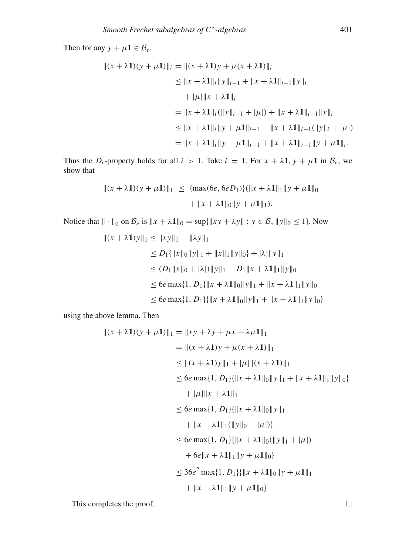Then for any  $y + \mu \mathbf{1} \in \mathcal{B}_e$ ,

$$
||(x + \lambda 1)(y + \mu 1)||_i = ||(x + \lambda 1)y + \mu(x + \lambda 1)||_i
$$
  
\n
$$
\le ||x + \lambda 1||_i ||y||_{i-1} + ||x + \lambda 1||_{i-1} ||y||_i
$$
  
\n
$$
+ |\mu|||x + \lambda 1||_i
$$
  
\n
$$
= ||x + \lambda 1||_i (||y||_{i-1} + |\mu|) + ||x + \lambda 1||_{i-1} ||y||_i
$$
  
\n
$$
\le ||x + \lambda 1||_i ||y + \mu 1||_{i-1} + ||x + \lambda 1||_{i-1} (||y||_i + |\mu|)
$$
  
\n
$$
= ||x + \lambda 1||_i ||y + \mu 1||_{i-1} + ||x + \lambda 1||_{i-1} ||y + \mu 1||_i.
$$

Thus the *D<sub>i</sub>*-property holds for all  $i > 1$ . Take  $i = 1$ . For  $x + \lambda \mathbf{1}$ ,  $y + \mu \mathbf{1}$  in  $\mathcal{B}_e$ , we show that

$$
||(x + \lambda \mathbf{1})(y + \mu \mathbf{1})||_1 \leq {\max(6e, 6eD_1)} (||x + \lambda \mathbf{1}||_1 ||y + \mu \mathbf{1}||_0 + ||x + \lambda \mathbf{1}||_0 ||y + \mu \mathbf{1}||_1).
$$

Notice that  $\| \cdot \|_0$  on  $\mathcal{B}_e$  is  $\|x + \lambda \mathbf{1}\|_0 = \sup{\{\|xy + \lambda y\| : y \in \mathcal{B}, \|y\|_0 \leq 1\}}$ . Now

$$
||(x + \lambda 1)y||_1 \le ||xy||_1 + ||\lambda y||_1
$$
  
\n
$$
\le D_1{||x||_0||y||_1 + ||x||_1||y||_0} + |\lambda| ||y||_1
$$
  
\n
$$
\le (D_1 ||x||_0 + |\lambda|) ||y||_1 + D_1 ||x + \lambda 1||_1 ||y||_0
$$
  
\n
$$
\le 6e \max\{1, D_1\} ||x + \lambda 1||_0 ||y||_1 + ||x + \lambda 1||_1 ||y||_0
$$
  
\n
$$
\le 6e \max\{1, D_1\} {||x + \lambda 1||_0 ||y||_1 + ||x + \lambda 1||_1 ||y||_0}
$$

using the above lemma. Then

$$
||(x + \lambda 1)(y + \mu 1)||_1 = ||xy + \lambda y + \mu x + \lambda \mu 1||_1
$$
  
\n
$$
= ||(x + \lambda 1)y + \mu(x + \lambda 1)||_1
$$
  
\n
$$
\leq ||(x + \lambda 1)y||_1 + |\mu|||(x + \lambda 1)||_1
$$
  
\n
$$
\leq 6e \max\{1, D_1\} {||x + \lambda 1||_0||y||_1 + ||x + \lambda 1||_1||y||_0}
$$
  
\n
$$
+ |\mu||x + \lambda 1||_1
$$
  
\n
$$
\leq 6e \max\{1, D_1\} {||x + \lambda 1||_0||y||_1}
$$
  
\n
$$
+ ||x + \lambda 1||_1 (||y||_0 + |\mu|)
$$
  
\n
$$
\leq 6e \max\{1, D_1\} {||x + \lambda 1||_0 (||y||_1 + |\mu|)}
$$
  
\n
$$
+ 6e ||x + \lambda 1||_1 ||y + \mu 1||_0
$$
  
\n
$$
\leq 36e^2 \max\{1, D_1\} {||x + \lambda 1||_0 ||y + \mu 1||_1}
$$
  
\n
$$
+ ||x + \lambda 1||_1 ||y + \mu 1||_0
$$

This completes the proof.  $\Box$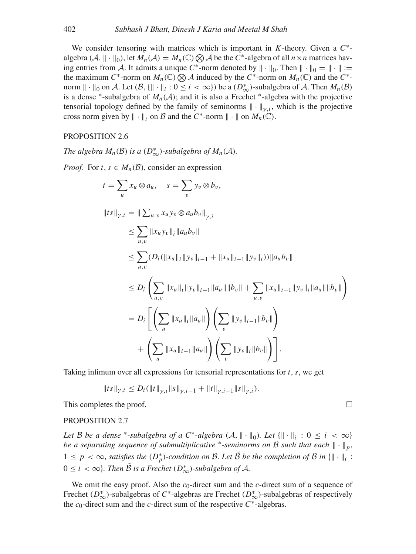We consider tensoring with matrices which is important in *K*-theory. Given a *C*∗ algebra  $(A, \| \cdot \|_0)$ , let  $M_n(A) = M_n(\mathbb{C}) \bigotimes A$  be the  $C^*$ -algebra of all  $n \times n$  matrices having entries from A. It admits a unique  $C^*$ -norm denoted by  $\|\cdot\|_0$ . Then  $\|\cdot\|_0 = \|\cdot\| :=$ the maximum  $C^*$ -norm on  $M_n(\mathbb{C}) \otimes \mathcal{A}$  induced by the  $C^*$ -norm on  $M_n(\mathbb{C})$  and the  $C^*$ norm  $\|\cdot\|_0$  on A. Let  $(\mathcal{B}, \{\|\cdot\|_i : 0 \leq i < \infty\})$  be a  $(D^*_{\infty})$ -subalgebra of A. Then  $M_n(\mathcal{B})$ is a dense <sup>∗</sup>-subalgebra of  $M_n(\mathcal{A})$ ; and it is also a Frechet <sup>\*</sup>-algebra with the projective tensorial topology defined by the family of seminorms  $\|\cdot\|_{\nu,i}$ , which is the projective cross norm given by  $\|\cdot\|_i$  on B and the  $C^*$ -norm  $\|\cdot\|$  on  $M_n(\mathbb{C})$ .

## PROPOSITION 2.6

*The algebra*  $M_n(\mathcal{B})$  *is a*  $(D^*_{\infty})$ *-subalgebra of*  $M_n(\mathcal{A})$ *.* 

*Proof.* For  $t, s \in M_n(\mathcal{B})$ , consider an expression

$$
t = \sum_{u} x_{u} \otimes a_{u}, \quad s = \sum_{v} y_{v} \otimes b_{v},
$$
  
\n
$$
\|ts\|_{y,i} = \|\sum_{u,v} x_{u} y_{v} \otimes a_{u} b_{v}\|_{y,i}
$$
  
\n
$$
\leq \sum_{u,v} \|x_{u} y_{v}\|_{i} \|a_{u} b_{v}\|
$$
  
\n
$$
\leq \sum_{u,v} (D_{i} (\|x_{u}\|_{i} \|y_{v}\|_{i-1} + \|x_{u}\|_{i-1} \|y_{v}\|_{i})) \|a_{u} b_{v}\|
$$
  
\n
$$
\leq D_{i} \left( \sum_{u,v} \|x_{u}\|_{i} \|y_{v}\|_{i-1} \|a_{u}\| \|b_{v}\| + \sum_{u,v} \|x_{u}\|_{i-1} \|y_{v}\|_{i} \|a_{u}\| \|b_{v}\| \right)
$$
  
\n
$$
= D_{i} \left[ \left( \sum_{u} \|x_{u}\|_{i} \|a_{u}\| \right) \left( \sum_{v} \|y_{v}\|_{i-1} \|b_{v}\| \right) + \left( \sum_{u} \|x_{u}\|_{i-1} \|a_{u}\| \right) \left( \sum_{v} \|y_{v}\|_{i} \|b_{v}\| \right) \right].
$$

Taking infimum over all expressions for tensorial representations for *t*,*s*, we get

$$
||ts||_{\gamma,i} \le D_i(||t||_{\gamma,i}||s||_{\gamma,i-1} + ||t||_{\gamma,i-1}||s||_{\gamma,i}).
$$

This completes the proof.  $\Box$ 

#### PROPOSITION 2.7

*Let* B *be a dense* \**-subalgebra of a C*<sup>\*</sup>*-algebra*  $(A, \|\cdot\|_0)$ *. Let*  $\{\|\cdot\|_i : 0 \le i < \infty\}$ *be a separating sequence of submultiplicative* \*-seminorms on B such that each  $\|\cdot\|_p$ ,  $1 ≤ p < ∞$ , *satisfies the* ( $D_p^*$ )-condition on  $B$ . Let  $\tilde{B}$  be the completion of  $B$  in { $\|\cdot\|_i$  :  $0 \leq i < \infty$ }. Then  $\tilde{\mathcal{B}}$  is a Frechet  $(D^*_\infty)$ -subalgebra of A.

We omit the easy proof. Also the  $c_0$ -direct sum and the  $c$ -direct sum of a sequence of Frechet (*D*<sup>∗</sup> <sup>∞</sup>)-subalgebras of *C*∗-algebras are Frechet (*D*<sup>∗</sup> <sup>∞</sup>)-subalgebras of respectively the *c*0-direct sum and the *c*-direct sum of the respective *C*∗-algebras.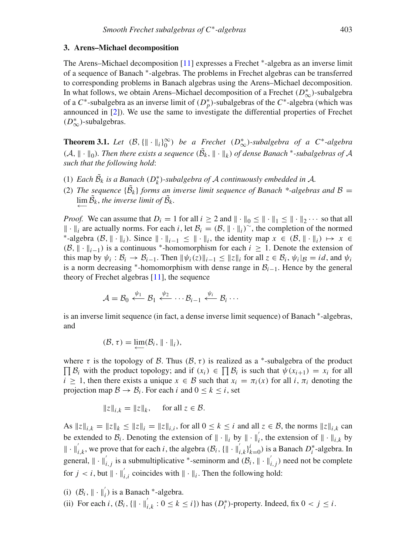## <span id="page-10-0"></span>**3. Arens–Michael decomposition**

The Arens–Michael decomposition [\[11](#page-19-6)] expresses a Frechet <sup>∗</sup>-algebra as an inverse limit of a sequence of Banach <sup>∗</sup>-algebras. The problems in Frechet algebras can be transferred to corresponding problems in Banach algebras using the Arens–Michael decomposition. In what follows, we obtain Arens–Michael decomposition of a Frechet (*D*<sup>∗</sup><sub>∞</sub>)-subalgebra of a *C*∗-subalgebra as an inverse limit of (*D*<sup>∗</sup> *<sup>p</sup>*)-subalgebras of the *C*∗-algebra (which was announced in [\[2\]](#page-19-3)). We use the same to investigate the differential properties of Frechet (*D*<sup>∗</sup> <sup>∞</sup>)-subalgebras.

**Theorem 3.1.** *Let*  $(B, \{ \| \cdot \|_i \}_{0}^{\infty})$  *be a Frechet*  $(D_{\infty}^{*})$ *-subalgebra of a C*<sup>\*</sup>*-algebra*  $(A, ∥ · ∥0)$ . Then there exists a sequence  $(\tilde{B}_k, ∥ · ∥_k)$  of dense Banach <sup>∗</sup>-subalgebras of A *such that the following hold*:

- (1) *Each*  $\tilde{B}_k$  *is a Banach*  $(D_k^*)$ -subalgebra of A continuously embedded in A.
- (2) The sequence  $\{\tilde{\mathcal{B}}_k\}$  forms an inverse limit sequence of Banach \*-algebras and  $\mathcal{B} =$  $\lim_{k \to \infty} \tilde{\mathcal{B}}_k$ , the inverse limit of  $\tilde{\mathcal{B}}_k$ .

*Proof.* We can assume that  $D_i = 1$  for all  $i \ge 2$  and  $\|\cdot\|_0 \le \|\cdot\|_1 \le \|\cdot\|_2 \cdots$  so that all *i* ∗ *i*<sub>*i*</sub> are actually norms. For each *i*, let  $\mathcal{B}_i = (\mathcal{B}, \|\cdot\|_i)^\sim$ , the completion of the normed \*-algebra  $(\mathcal{B}, \|\cdot\|_i)$ . Since  $\|\cdot\|_{i-1} \leq \|\cdot\|_i$ , the identity map  $x \in (\mathcal{B}, \|\cdot\|_i) \mapsto x \in$  $(\mathcal{B}, \|\cdot\|_{i-1})$  is a continuous \*-homomorphism for each  $i \geq 1$ . Denote the extension of this map by  $\psi_i : \mathcal{B}_i \to \mathcal{B}_{i-1}$ . Then  $\|\psi_i(z)\|_{i-1} \leq \|z\|_i$  for all  $z \in \mathcal{B}_i$ ,  $\psi_i|_{\mathcal{B}} = id$ , and  $\psi_i$ is a norm decreasing <sup>∗</sup>-homomorphism with dense range in  $B_{i-1}$ . Hence by the general theory of Frechet algebras [\[11](#page-19-6)], the sequence

$$
\mathcal{A} = \mathcal{B}_0 \stackrel{\psi_1}{\longleftarrow} \mathcal{B}_1 \stackrel{\psi_2}{\longleftarrow} \cdots \mathcal{B}_{i-1} \stackrel{\psi_i}{\longleftarrow} \mathcal{B}_i \cdots
$$

is an inverse limit sequence (in fact, a dense inverse limit sequence) of Banach <sup>∗</sup>-algebras, and

$$
(\mathcal{B},\tau)=\underset{\longleftarrow}{\lim}(\mathcal{B}_i,\|\cdot\|_i),
$$

where  $\tau$  is the topology of  $\beta$ . Thus  $(\beta, \tau)$  is realized as a \*-subalgebra of the product  $\prod \mathcal{B}_i$  with the product topology; and if  $(x_i) \in \prod \mathcal{B}_i$  is such that  $\psi(x_{i+1}) = x_i$  for all *i*  $\geq$  1, then there exists a unique  $x \in B$  such that  $x_i = \pi_i(x)$  for all *i*,  $\pi_i$  denoting the projection map  $\mathcal{B} \to \mathcal{B}_i$ . For each *i* and  $0 \le k \le i$ , set

$$
||z||_{i,k} = ||z||_k, \quad \text{for all } z \in \mathcal{B}.
$$

As  $||z||_{i,k} = ||z||_k \le ||z||_i = ||z||_{i,i}$ , for all  $0 \le k \le i$  and all  $z \in \mathcal{B}$ , the norms  $||z||_{i,k}$  can be extended to  $B_i$ . Denoting the extension of  $\|\cdot\|_i$  by  $\|\cdot\|_i$ , the extension of  $\|\cdot\|_{i,k}$  by  $\|\cdot\|_{i,k}^{'},$  we prove that for each *i*, the algebra ( $\mathcal{B}_i$ , { $\|\cdot\|_{i,k}^{'},$  }  $_{k=0}^{i}$ ) is a Banach  $D_i^*$ -algebra. In general,  $\|\cdot\|_{i,j}$  is a submultiplicative \*-seminorm and  $(\mathcal{B}_i, \|\cdot\|_{i,j}^j)$  need not be complete for  $j < i$ , but  $\|\cdot\|_{i,i}$  coincides with  $\|\cdot\|_{i}$ . Then the following hold:

- (i)  $(\mathcal{B}_i, \|\cdot\|_i)$  is a Banach <sup>\*</sup>-algebra.
- (ii) For each *i*,  $(\mathcal{B}_i, {\{\|\cdot\|}'_{i,k} : 0 \le k \le i\})$  has  $(D_i^*)$ -property. Indeed, fix  $0 < j \le i$ .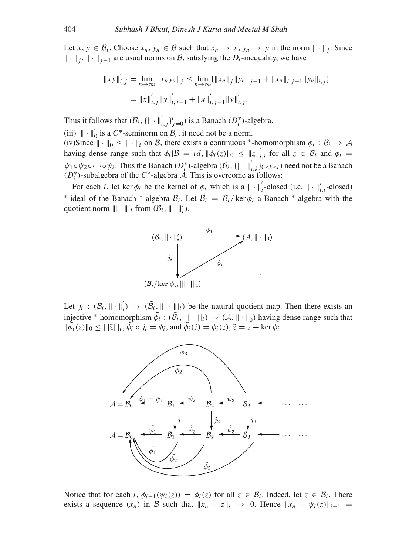Let  $x, y \in \mathcal{B}_i$ . Choose  $x_n, y_n \in \mathcal{B}$  such that  $x_n \to x, y_n \to y$  in the norm  $\|\cdot\|_i$ . Since ·*j*, ·*j*−<sup>1</sup> are usual norms on B, satisfying the *Di*-inequality, we have

$$
||xy||'_{i,j} = \lim_{n \to \infty} ||x_n y_n||_j \le \lim_{n \to \infty} {||x_n||_j ||y_n||_{j-1} + ||x_n||_{i,j-1} ||y_n||_{i,j}}
$$
  
=  $||x||'_{i,j} ||y||'_{i,j-1} + ||x||'_{i,j-1} ||y||'_{i,j}.$ 

Thus it follows that  $(B_i, \{ \| \cdot \|_{i,j}^i \}_{j=0}^i)$  is a Banach  $(D_i^*)$ -algebra.

(iii)  $\|\cdot\|_0'$  is a *C*<sup>\*</sup>-seminorm on  $\mathcal{B}_i$ ; it need not be a norm. (iv)Since  $\|\cdot\|_0 \le \|\cdot\|_i$  on B, there exists a continuous \*-homomorphism  $\phi_i : \mathcal{B}_i \to \mathcal{A}$ having dense range such that  $\phi_i|\mathcal{B} = id$ ,  $\|\phi_i(z)\|_0 \leq \|z\|'_{i,i}$  for all  $z \in \mathcal{B}_i$  and  $\phi_i =$  $\psi_1 \circ \psi_2 \circ \cdots \circ \psi_i$ . Thus the Banach  $(D_i^*)$ -algebra  $(\mathcal{B}_i, {\{\|\cdot\|}_{i,k}^i\}_{0 \leq k \leq i})$  need not be a Banach  $(D_i^*)$ -subalgebra of the  $C^*$ -algebra  $\mathcal A$ . This is overcome as follows:

For each *i*, let ker  $\phi_i$  be the kernel of  $\phi_i$  which is a  $\|\cdot\|_i^{\prime}$ -closed (i.e.  $\|\cdot\|_{i,i}^{\prime}$ -closed) \*-ideal of the Banach \*-algebra  $B_i$ . Let  $\tilde{B}_i = B_i / \text{ker } \phi_i$  a Banach \*-algebra with the quotient norm  $\|\cdot\|_i$  from  $(\mathcal{B}_i, \|\cdot\|'_i)$ .



Let  $j_i$ :  $(\mathcal{B}_i, \|\cdot\|_i) \to (\tilde{\mathcal{B}}_i, \|\cdot\|_i)$  be the natural quotient map. Then there exists an injective \*-homomorphism  $\tilde{\phi}_i : (\tilde{\mathcal{B}}_i, \|\cdot\|_i) \to (\mathcal{A}, \|\cdot\|_0)$  having dense range such that  $\|\tilde{\phi}_i(z)\|_0 \le \|\tilde{z}\|_i, \tilde{\phi}_i \circ j_i = \phi_i, \text{ and } \tilde{\phi}_i(\tilde{z}) = \phi_i(z), \tilde{z} = z + \ker \phi_i.$ 



Notice that for each *i*,  $\phi_{i-1}(\psi_i(z)) = \phi_i(z)$  for all  $z \in \mathcal{B}_i$ . Indeed, let  $z \in \mathcal{B}_i$ . There exists a sequence  $(x_n)$  in B such that  $||x_n - z||_i \rightarrow 0$ . Hence  $||x_n - \psi_i(z)||_{i-1} =$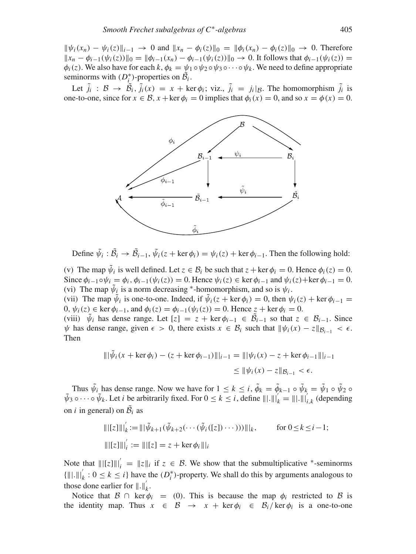$\|\psi_i(x_n) - \psi_i(z)\|_{i-1}$  → 0 and  $\|x_n - \phi_i(z)\|_0 = \|\phi_i(x_n) - \phi_i(z)\|_0$  → 0. Therefore  $||x_n - \phi_{i-1}(\psi_i(z))||_0 = ||\phi_{i-1}(x_n) - \phi_{i-1}(\psi_i(z))||_0 \to 0$ . It follows that  $\phi_{i-1}(\psi_i(z)) =$  $\phi_i(z)$ . We also have for each  $k, \phi_k = \psi_1 \circ \psi_2 \circ \psi_3 \circ \cdots \circ \psi_k$ . We need to define appropriate seminorms with  $(D_i^*)$ -properties on  $\tilde{B_i}$ .

Let  $\tilde{j}_i : \mathcal{B} \to \tilde{\mathcal{B}}_i$ ,  $\tilde{j}_i(x) = x + \ker \phi_i$ ; viz.,  $\tilde{j}_i = j_i | \mathcal{B}$ . The homomorphism  $\tilde{j}_i$  is one-to-one, since for  $x \in \mathcal{B}$ ,  $x + \ker \phi_i = 0$  implies that  $\phi_i(x) = 0$ , and so  $x = \phi(x) = 0$ .



Define  $\tilde{\psi}_i : \tilde{\mathcal{B}}_i \to \tilde{\mathcal{B}}_{i-1}, \tilde{\psi}_i(z + \ker \phi_i) = \psi_i(z) + \ker \phi_{i-1}$ . Then the following hold:

(v) The map  $\psi_i$  is well defined. Let  $z \in \mathcal{B}_i$  be such that  $z + \ker \phi_i = 0$ . Hence  $\phi_i(z) = 0$ . Since  $\phi_{i-1} \circ \psi_i = \phi_i$ ,  $\phi_{i-1}(\psi_i(\zeta)) = 0$ . Hence  $\psi_i(\zeta) \in \ker \phi_{i-1}$  and  $\psi_i(\zeta) + \ker \phi_{i-1} = 0$ . (vi) The map  $\psi_i$  is a norm decreasing <sup>\*</sup>-homomorphism, and so is  $\psi_i$ .

(vii) The map  $\tilde{\psi}_i$  is one-to-one. Indeed, if  $\tilde{\psi}_i(z + \ker \phi_i) = 0$ , then  $\psi_i(z) + \ker \phi_{i-1} = 0$  $0, \psi_i(z) \in \ker \phi_{i-1}$ , and  $\phi_i(z) = \phi_{i-1}(\psi_i(z)) = 0$ . Hence  $z + \ker \phi_i = 0$ .

(viii)  $\tilde{\psi}_i$  has dense range. Let  $[z] = z + \ker \phi_{i-1} \in \tilde{\mathcal{B}}_{i-1}$  so that  $z \in \mathcal{B}_{i-1}$ . Since  $\psi$  has dense range, given  $\epsilon > 0$ , there exists  $x \in \mathcal{B}_i$  such that  $\|\psi_i(x) - z\|_{\mathcal{B}_{i-1}} < \epsilon$ . Then

$$
\|\|\tilde{\psi}_i(x+\ker\phi_i) - (z+\ker\phi_{i-1})\|\|_{i-1} = \|\|\psi_i(x) - z + \ker\phi_{i-1}\|\|_{i-1}
$$
  
\n
$$
\leq \|\psi_i(x) - z\|_{\mathcal{B}_{i-1}} < \epsilon.
$$

Thus  $\tilde{\psi}_i$  has dense range. Now we have for  $1 \le k \le i$ ,  $\tilde{\phi}_k = \tilde{\phi}_{k-1} \circ \tilde{\psi}_k = \tilde{\psi}_1 \circ \tilde{\psi}_2$   $\circ$  $\psi_3 \circ \cdots \circ \psi_k$ . Let *i* be arbitrarily fixed. For  $0 \le k \le i$ , define  $|||.\|||_k = |||.\|||_{i,k}$  (depending on *i* in general) on  $\tilde{B}_i$  as

$$
\|\|[z]\|\|_{k}^{'} := \|\|\tilde{\psi}_{k+1}(\tilde{\psi}_{k+2}(\cdots(\tilde{\psi}_{i}([z])\cdots)))\|\|_{k}, \quad \text{for } 0 \le k \le i-1;
$$
  

$$
\|\|[z]\|\|_{i}^{'} := \|\|[z] = z + \ker \phi_{i}\|\|_{i}
$$

Note that  $\| |z||_{i}^{i} = \|z\|_{i}$  if  $z \in \mathcal{B}$ . We show that the submultiplicative \*-seminorms  ${|| ||...||}'_k : 0 \le k \le i$  } have the  $(D_i^*)$ -property. We shall do this by arguments analogous to those done earlier for  $\|\cdot\|_k'$ .

Notice that  $\mathcal{B} \cap \ker \phi_i = (0)$ . This is because the map  $\phi_i$  restricted to  $\mathcal{B}$  is the identity map. Thus  $x \in \mathcal{B} \rightarrow x + \ker \phi_i \in \mathcal{B}_i / \ker \phi_i$  is a one-to-one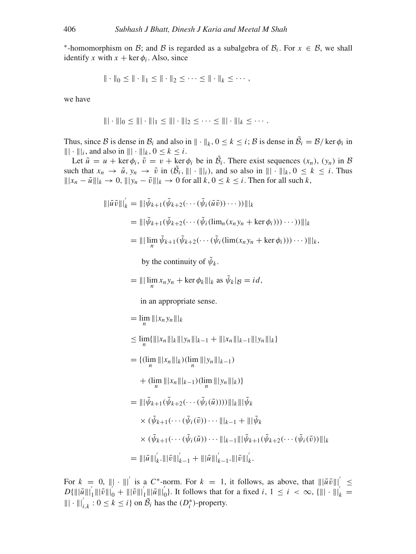\*-homomorphism on B; and B is regarded as a subalgebra of  $B_i$ . For  $x \in B$ , we shall identify *x* with  $x + \ker \phi_i$ . Also, since

$$
\|\cdot\|_0\leq\|\cdot\|_1\leq\|\cdot\|_2\leq\cdots\leq\|\cdot\|_k\leq\cdots,
$$

we have

$$
\|\|\cdot\|\|_0\leq \|\|\cdot\|\|_1\leq \|\|\cdot\|\|_2\leq \cdots\leq \|\|\cdot\|\|_k\leq \cdots.
$$

Thus, since B is dense in  $B_i$  and also in  $\|\cdot\|_k$ ,  $0 \le k \le i$ ; B is dense in  $\tilde{B}_i = B/\ker \phi_i$  in  $||| \cdot |||_i$ , and also in  $||| \cdot |||_k$ ,  $0 \le k \le i$ .

Let  $\tilde{u} = u + \ker \phi_i$ ,  $\tilde{v} = v + \ker \phi_i$  be in  $\tilde{B}_i$ . There exist sequences  $(x_n)$ ,  $(y_n)$  in B such that  $x_n \to \tilde{u}$ ,  $y_n \to \tilde{v}$  in  $(\tilde{\mathcal{B}}_i, ||| \cdot |||_i)$ , and so also in  $||| \cdot |||_k$ ,  $0 \le k \le i$ . Thus  $|||x_n - \tilde{u}||_k$  → 0,  $|||y_n - \tilde{v}||_k$  → 0 for all  $k$ ,  $0 \le k \le i$ . Then for all such  $k$ ,

$$
\|\|\tilde{u}\tilde{v}\|\|_{k}^{'} = \|\|\tilde{\psi}_{k+1}(\tilde{\psi}_{k+2}(\cdots(\tilde{\psi}_{i}(\tilde{u}\tilde{v}))\cdots))\|\|_{k}
$$
  
\n
$$
= \|\|\tilde{\psi}_{k+1}(\tilde{\psi}_{k+2}(\cdots(\tilde{\psi}_{i}(\lim_{n}(x_{n}y_{n} + \ker \phi_{i})))\cdots))\|\|_{k}
$$
  
\n
$$
= \|\|\lim_{n} \tilde{\psi}_{k+1}(\tilde{\psi}_{k+2}(\cdots(\tilde{\psi}_{i}(\lim_{n}y_{n} + \ker \phi_{i})))\cdots)\|\|_{k},
$$

by the continuity of  $\tilde{\psi}_k$ .

$$
= || |\lim_{n} x_{n} y_{n} + \ker \phi_{k} |||_{k} \text{ as } \tilde{\psi}_{k} |_{\mathcal{B}} = id,
$$

in an appropriate sense.

$$
= \lim_{n} |||x_{n}y_{n}|||_{k}
$$
  
\n
$$
\leq \lim_{n} {|||x_{n}||_{k}|||y_{n}|||_{k-1} + |||x_{n}|||_{k-1}|||y_{n}|||_{k}}
$$
  
\n
$$
= {(\lim_{n} |||x_{n}|||_{k}) (\lim_{n} |||y_{n}|||_{k-1})}
$$
  
\n
$$
+ (\lim_{n} |||x_{n}|||_{k-1}) (\lim_{n} |||y_{n}|||_{k})}
$$
  
\n
$$
= |||\tilde{\psi}_{k+1}(\tilde{\psi}_{k+2}(\cdots(\tilde{\psi}_{i}(\tilde{u}))))|||_{k}|||\tilde{\psi}_{k}
$$
  
\n
$$
\times (\tilde{\psi}_{k+1}(\cdots(\tilde{\psi}_{i}(\tilde{v}))\cdots|||_{k-1} + |||\tilde{\psi}_{k}
$$
  
\n
$$
\times (\tilde{\psi}_{k+1}(\cdots(\tilde{\psi}_{i}(\tilde{u}))\cdots|||_{k-1}|||\tilde{\psi}_{k+1}(\tilde{\psi}_{k+2}(\cdots(\tilde{\psi}_{i}(\tilde{v})))||_{k})
$$
  
\n
$$
= |||\tilde{u}|||_{k}' |||\tilde{v}|||_{k-1}' + |||\tilde{u}|||_{k-1}' |||\tilde{v}|||_{k}'.
$$

For  $k = 0$ ,  $||| \cdot |||'$  is a  $C^*$ -norm. For  $k = 1$ , it follows, as above, that  $|||\tilde{u}\tilde{v}|||' \le$  $D{\{\|\tilde{u}\|\|_1' \|\|\tilde{v}\|\|_0' + \|\|\tilde{v}\|\|_1' \|\|\tilde{u}\|\|_0'\}}$ . It follows that for a fixed *i*,  $1 \le i < \infty$ ,  $\{\|\cdot\|\|_k = \sqrt{2}$  $||| \cdot |||'_{i,k} : 0 \le k \le i$  on  $\tilde{B}_i$  has the  $(D_i^*)$ -property.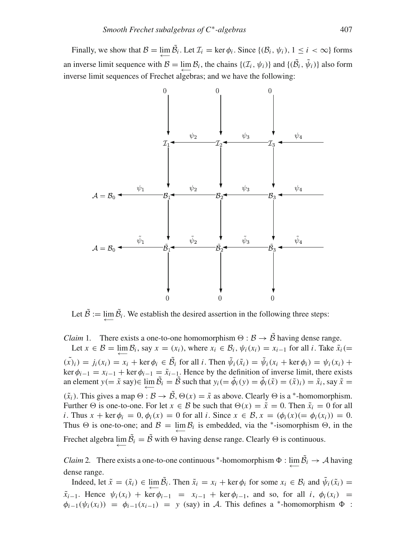Finally, we show that  $B = \lim_{\leftarrow} \tilde{B}_i$ . Let  $\mathcal{I}_i = \ker \phi_i$ . Since  $\{(\mathcal{B}_i, \psi_i), 1 \leq i < \infty\}$  forms an inverse limit sequence with  $B = \lim_{\longleftarrow} B_i$ , the chains  $\{(\mathcal{I}_i, \psi_i)\}\$ and  $\{(\tilde{\mathcal{B}}_i, \tilde{\psi}_i)\}\$ also form inverse limit sequences of Frechet algebras; and we have the following:



Let  $\tilde{\beta} := \lim_{\longleftarrow} \tilde{\beta}_i$ . We establish the desired assertion in the following three steps:

*Claim* 1. There exists a one-to-one homomorphism  $\Theta : \mathcal{B} \to \tilde{\mathcal{B}}$  having dense range. Let  $x \in \mathcal{B} = \lim_{n \to \infty} \mathcal{B}_i$ , say  $x = (x_i)$ , where  $x_i \in \mathcal{B}_i$ ,  $\psi_i(x_i) = x_{i-1}$  for all *i*. Take  $\tilde{x}_i$  (=  $(\tilde{x})_i$  =  $j_i(x_i) = x_i + \ker \phi_i \in \tilde{\mathcal{B}}_i$  for all *i*. Then  $\tilde{\psi}_i(\tilde{x}_i) = \tilde{\psi}_i(x_i + \ker \phi_i) = \psi_i(x_i) + \tilde{\psi}_i(x_i)$  $\ker \phi_{i-1} = x_{i-1} + \ker \phi_{i-1} = \tilde{x}_{i-1}$ . Hence by the definition of inverse limit, there exists an element *y*(=  $\tilde{x}$  say)∈  $\lim_{\longleftarrow} \tilde{B}_i = \tilde{B}$  such that  $y_i (= \tilde{\phi}_i(y) = \tilde{\phi}_i(\tilde{x}) = (\tilde{x})_i$ ) =  $\tilde{x}_i$ , say  $\tilde{x} =$  $(\tilde{x}_i)$ . This gives a map  $\Theta : \mathcal{B} \to \tilde{\mathcal{B}}, \Theta(x) = \tilde{x}$  as above. Clearly  $\Theta$  is a  $*$ -homomorphism. Further  $\Theta$  is one-to-one. For let  $x \in \mathcal{B}$  be such that  $\Theta(x) = \tilde{x} = 0$ . Then  $\tilde{x}_i = 0$  for all *i*. Thus  $x + \ker \phi_i = 0$ ,  $\phi_i(x) = 0$  for all *i*. Since  $x \in \mathcal{B}$ ,  $x = (\phi_i(x)) = \phi_i(x_i) = 0$ . Thus  $\Theta$  is one-to-one; and  $\mathcal{B} = \lim_{\leftarrow} \mathcal{B}_i$  is embedded, via the <sup>∗</sup>-isomorphism  $\Theta$ , in the Frechet algebra  $\lim_{\longleftarrow} \tilde{B}_i = \tilde{B}$  with  $\Theta$  having dense range. Clearly  $\Theta$  is continuous.

*Claim* 2. There exists a one-to-one continuous \*-homomorphism  $\Phi$  :  $\lim_{\leftarrow} \tilde{B}_i \to A$  having dense range.

Indeed, let  $\tilde{x} = (\tilde{x}_i) \in \lim_{\leftarrow} \tilde{\mathcal{B}}_i$ . Then  $\tilde{x}_i = x_i + \ker \phi_i$  for some  $x_i \in \mathcal{B}_i$  and  $\tilde{\psi}_i(\tilde{x}_i) =$  $\tilde{x}_{i-1}$ . Hence  $\psi_i(x_i) + \ker \phi_{i-1} = x_{i-1} + \ker \phi_{i-1}$ , and so, for all *i*,  $\phi_i(x_i) =$  $\phi_{i-1}(\psi_i(x_i)) = \phi_{i-1}(x_{i-1}) = y$  (say) in A. This defines a <sup>\*</sup>-homomorphism  $\Phi$ :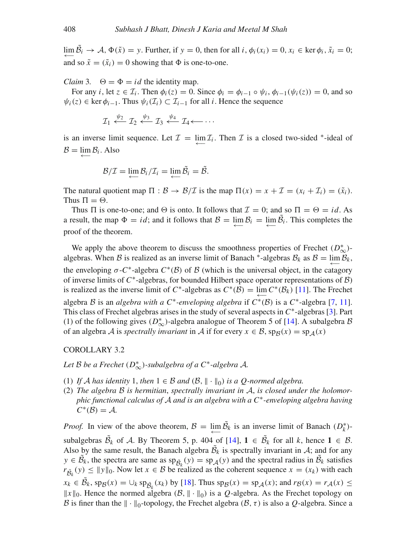$\lim_{\longleftarrow} \tilde{\mathcal{B}}_i \to \mathcal{A}, \Phi(\tilde{x}) = y.$  Further, if  $y = 0$ , then for all *i*,  $\phi_i(x_i) = 0, x_i \in \ker \phi_i, \tilde{x}_i = 0;$ and so  $\tilde{x} = (\tilde{x}_i) = 0$  showing that  $\Phi$  is one-to-one.

*Claim* 3.  $\Theta = \Phi = id$  the identity map.

For any *i*, let  $z \in \mathcal{I}_i$ . Then  $\phi_i(z) = 0$ . Since  $\phi_i = \phi_{i-1} \circ \psi_i$ ,  $\phi_{i-1}(\psi_i(z)) = 0$ , and so  $\psi_i(z) \in \text{ker } \phi_{i-1}$ . Thus  $\psi_i(\mathcal{I}_i) \subset \mathcal{I}_{i-1}$  for all *i*. Hence the sequence

 $\mathcal{I}_1 \stackrel{\psi_2}{\longleftarrow} \mathcal{I}_2 \stackrel{\psi_3}{\longleftarrow} \mathcal{I}_3 \stackrel{\psi_4}{\longleftarrow} \mathcal{I}_4 \longleftarrow \cdots$ 

is an inverse limit sequence. Let  $\mathcal{I} = \lim_{n \to \infty} \mathcal{I}_i$ . Then  $\mathcal{I}$  is a closed two-sided \*-ideal of  $B = \lim_{\longleftarrow} B_i$ . Also

$$
\mathcal{B}/\mathcal{I}=\lim_{\longleftarrow}\mathcal{B}_i/\mathcal{I}_i=\lim_{\longleftarrow}\tilde{\mathcal{B}}_i=\tilde{\mathcal{B}}.
$$

The natural quotient map  $\Pi : \mathcal{B} \to \mathcal{B}/\mathcal{I}$  is the map  $\Pi(x) = x + \mathcal{I} = (x_i + \mathcal{I}_i) = (\tilde{x}_i)$ . Thus  $\Pi = \Theta$ .

Thus  $\Pi$  is one-to-one; and  $\Theta$  is onto. It follows that  $\mathcal{I} = 0$ ; and so  $\Pi = \Theta = id$ . As a result, the map  $\Phi = id$ ; and it follows that  $B = \lim_{\leftarrow} B_i = \lim_{\leftarrow} \tilde{B}_i$ . This completes the proof of the theorem.

We apply the above theorem to discuss the smoothness properties of Frechet  $(D_{\infty}^*)$ algebras. When B is realized as an inverse limit of Banach \*-algebras  $B_k$  as  $B = \lim_{\leftarrow} B_k$ , the enveloping  $\sigma$ -*C*<sup>\*</sup>-algebra *C*<sup>\*</sup>( $\beta$ ) of  $\beta$  (which is the universal object, in the catagory of inverse limits of *C*∗-algebras, for bounded Hilbert space operator representations of B) is realized as the inverse limit of *C*<sup>∗</sup>-algebras as  $C^*(\mathcal{B}) = \lim_{\longleftarrow} C^*(\mathcal{B}_k)$  [\[11\]](#page-19-6). The Frechet algebra B is an *algebra with a C<sup>∗</sup>-enveloping algebra* if  $\overline{C^*(B)}$  is a  $C^*$ -algebra [\[7,](#page-19-9) [11](#page-19-6)]. This class of Frechet algebras arises in the study of several aspects in *C*∗-algebras [\[3\]](#page-19-10). Part (1) of the following gives ( $D_{\infty}^*$ )-algebra analogue of Theorem 5 of [\[14](#page-20-0)]. A subalgebra B of an algebra A is *spectrally invariant* in A if for every  $x \in B$ ,  $\text{sp}_B(x) = \text{sp}_A(x)$ 

## COROLLARY 3.2

*Let* B *be a Frechet* (*D*<sup>∗</sup> <sup>∞</sup>)*-subalgebra of a C*∗*-algebra* A*.*

- (1) If A has identity 1, then  $1 \in \mathcal{B}$  and  $(\mathcal{B}, \|\cdot\|_0)$  is a Q-normed algebra.
- (2) *The algebra* B *is hermitian*, *spectrally invariant in* A, *is closed under the holomorphic functional calculus of* A *and is an algebra with a C*∗*-enveloping algebra having*  $C^*(\mathcal{B}) = \mathcal{A}$ .

*Proof.* In view of the above theorem,  $B = \lim_{\leftarrow} \tilde{B}_k$  is an inverse limit of Banach  $(D_k^*)$ subalgebras  $\tilde{\mathcal{B}}_k$  of A. By Theorem 5, p. 404 of [\[14](#page-20-0)],  $1 \in \tilde{\mathcal{B}}_k$  for all k, hence  $1 \in \mathcal{B}$ . Also by the same result, the Banach algebra  $\tilde{\mathcal{B}}_k$  is spectrally invariant in A; and for any  $y \in \tilde{\mathcal{B}}_k$ , the spectra are same as  $\wp_{\tilde{\mathcal{B}}_k}(y) = \wp_{\mathcal{A}}(y)$  and the spectral radius in  $\tilde{\mathcal{B}}_k$  satisfies  $r_{\tilde{\mathcal{B}}_k}(y) \le ||y||_0$ . Now let  $x \in \mathcal{B}$  be realized as the coherent sequence  $x = (x_k)$  with each  $x_k \in \tilde{\mathcal{B}}_k$ , sp $\mathcal{B}(x) = \bigcup_k \text{sp}_{\tilde{\mathcal{B}}_k}(x_k)$  by [\[18\]](#page-20-6). Thus  $\text{sp}_{\mathcal{B}}(x) = \text{sp}_{\mathcal{A}}(x)$ ; and  $r_{\mathcal{B}}(x) = r_{\mathcal{A}}(x) \leq$  $||x||_0$ . Hence the normed algebra  $(B, || \cdot ||_0)$  is a *Q*-algebra. As the Frechet topology on B is finer than the  $\|\cdot\|_0$ -topology, the Frechet algebra  $(\mathcal{B}, \tau)$  is also a *Q*-algebra. Since a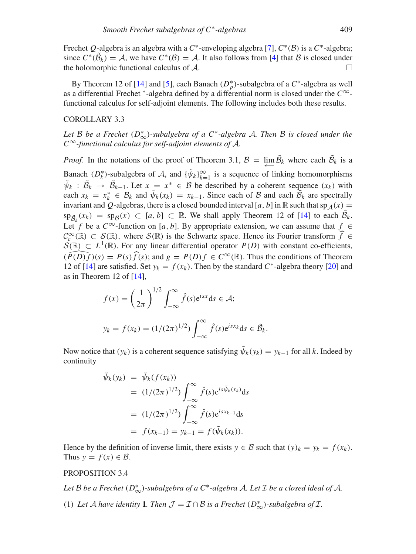Frechet *Q*-algebra is an algebra with a *C*∗-enveloping algebra [\[7](#page-19-9)], *C*∗(B) is a *C*∗-algebra; since  $C^*(\tilde{\beta}_k) = A$ , we have  $C^*(\beta) = A$ . It also follows from [\[4\]](#page-19-1) that  $\beta$  is closed under the holomorphic functional calculus of  $A$ .

By Theorem 12 of [\[14](#page-20-0)] and [\[5](#page-19-2)], each Banach ( $D_p^*$ )-subalgebra of a  $C^*$ -algebra as well as a differential Frechet <sup>∗</sup>-algebra defined by a differential norm is closed under the *C*∞ functional calculus for self-adjoint elements. The following includes both these results.

#### COROLLARY 3.3

*Let* B *be a Frechet* (*D*<sup>∗</sup> <sup>∞</sup>)*-subalgebra of a C*∗*-algebra* A*. Then* B *is closed under the C*∞*-functional calculus for self-adjoint elements of* A*.*

*Proof.* In the notations of the proof of Theorem 3.1,  $B = \lim_{\longleftarrow} \tilde{B}_k$  where each  $\tilde{B}_k$  is a Banach ( $D_k^*$ )-subalgebra of A, and  $\{\tilde{\psi}_k\}_{k=1}^\infty$  is a sequence of linking homomorphisms  $\tilde{\psi}_k$  :  $\tilde{\mathcal{B}}_k \to \tilde{\mathcal{B}}_{k-1}$ . Let  $x = x^* \in \mathcal{B}$  be described by a coherent sequence  $(x_k)$  with each  $x_k = x_k^* \in \mathcal{B}_k$  and  $\tilde{\psi}_k(x_k) = x_{k-1}$ . Since each of B and each  $\tilde{\mathcal{B}}_k$  are spectrally invariant and  $\hat{Q}$ -algebras, there is a closed bounded interval [a, b] in R such that sp<sub>A</sub>(x) =  $\sup_{\tilde{B}_k}(x_k) = \sup_{\tilde{B}}(x) \subset [a, b] \subset \mathbb{R}$ . We shall apply Theorem 12 of [\[14\]](#page-20-0) to each  $\tilde{B}_k$ . Let *f* be a  $C^{\infty}$ -function on [*a*, *b*]. By appropriate extension, we can assume that  $f \in$  $\mathcal{C}^{\infty}_{c}(\mathbb{R}) \subset S(\mathbb{R})$ , where  $S(\mathbb{R})$  is the Schwartz space. Hence its Fourier transform  $\widehat{f} \in S(\mathbb{R}) \subset I^{1}(\mathbb{R})$ . For any linear differential operator  $P(D)$  with constant co efficients  $S(\mathbb{R}) \subset L^1(\mathbb{R})$ . For any linear differential operator  $P(D)$  with constant co-efficients,<br> $(\widehat{P(D)f})(s) = P(s)\widehat{f}(s)$ : and  $g = P(D)f \in C^{\infty}(\mathbb{R})$ . Thus the conditions of Theorem  $(\widehat{P(D)f})(s) = P(s)\widehat{f}(s);$  and  $g = P(D)f \in C^{\infty}(\mathbb{R})$ . Thus the conditions of Theorem 12 of [14] are satisfied. Set  $w = f(x)$ . Then by the standard  $C^*$  algebra theory [20] and 12 of [\[14](#page-20-0)] are satisfied. Set  $y_k = f(x_k)$ . Then by the standard  $C^*$ -algebra theory [\[20](#page-20-5)] and as in Theorem 12 of  $[14]$ ,

$$
f(x) = \left(\frac{1}{2\pi}\right)^{1/2} \int_{-\infty}^{\infty} \hat{f}(s)e^{isx}ds \in \mathcal{A};
$$
  

$$
y_k = f(x_k) = (1/(2\pi)^{1/2}) \int_{-\infty}^{\infty} \hat{f}(s)e^{isx_k}ds \in \tilde{\mathcal{B}}_k.
$$

Now notice that  $(y_k)$  is a coherent sequence satisfying  $\tilde{\psi}_k(y_k) = y_{k-1}$  for all *k*. Indeed by continuity

$$
\tilde{\psi}_k(y_k) = \tilde{\psi}_k(f(x_k))
$$
\n
$$
= (1/(2\pi)^{1/2}) \int_{-\infty}^{\infty} \hat{f}(s) e^{is\tilde{\psi}_k(x_k)} ds
$$
\n
$$
= (1/(2\pi)^{1/2}) \int_{-\infty}^{\infty} \hat{f}(s) e^{isx_{k-1}} ds
$$
\n
$$
= f(x_{k-1}) = y_{k-1} = f(\tilde{\psi}_k(x_k)).
$$

Hence by the definition of inverse limit, there exists  $y \in B$  such that  $(y)_k = y_k = f(x_k)$ . Thus  $y = f(x) \in \mathcal{B}$ .

## PROPOSITION 3.4

*Let* B *be a Frechet* (*D*<sup>∗</sup> <sup>∞</sup>)*-subalgebra of a C*∗*-algebra* A*. Let* I *be a closed ideal of* A*.*

(1) Let A have identity **1***. Then*  $\mathcal{J} = \mathcal{I} \cap \mathcal{B}$  is a Frechet  $(D^*_{\infty})$ -subalgebra of  $\mathcal{I}$ *.*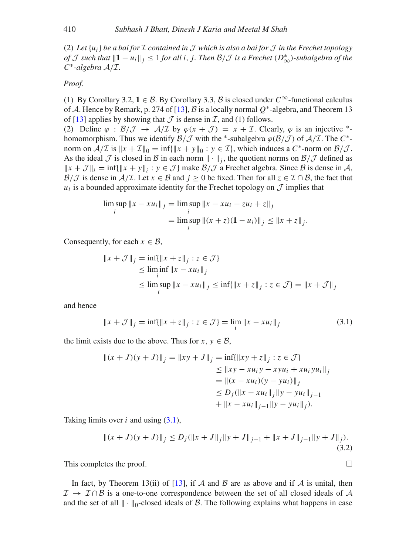(2) Let  $\{u_i\}$  be a bai for  $\mathcal I$  contained in  $\mathcal J$  which is also a bai for  $\mathcal J$  in the Frechet topology *of J* such that  $||1 - u_i||_j$  ≤ 1 *for all i, j. Then*  $\mathcal{B}/\mathcal{J}$  *is a Frechet* ( $D^*_{\infty}$ )-subalgebra of the *C*∗*-algebra* A/I*.*

*Proof.*

(1) By Corollary 3.2,  $1 \in \mathcal{B}$ . By Corollary 3.3,  $\mathcal{B}$  is closed under  $C^{\infty}$ -functional calculus of A. Hence by Remark, p. 274 of [\[13\]](#page-19-11), B is a locally normal *Q*∗-algebra, and Theorem 13 of [\[13\]](#page-19-11) applies by showing that  $\mathcal I$  is dense in  $\mathcal I$ , and (1) follows.

(2) Define  $\varphi : \mathcal{B}/\mathcal{J} \to \mathcal{A}/\mathcal{I}$  by  $\varphi(x + \mathcal{J}) = x + \mathcal{I}$ . Clearly,  $\varphi$  is an injective  $*$ homomorphism. Thus we identify  $\mathcal{B}/\mathcal{J}$  with the <sup>∗</sup>-subalgebra  $\varphi(\mathcal{B}/\mathcal{J})$  of  $\mathcal{A}/\mathcal{I}$ . The  $C^*$ norm on  $A/\mathcal{I}$  is  $||x + \mathcal{I}||_0 = \inf{||x + y||_0 : y \in \mathcal{I}}$ , which induces a  $C^*$ -norm on  $\mathcal{B}/\mathcal{J}$ . As the ideal  $\mathcal J$  is closed in  $\mathcal B$  in each norm  $\|\cdot\|_i$ , the quotient norms on  $\mathcal B/\mathcal J$  defined as  $||x + \mathcal{J}||_i = \inf{||x + y||_i : y \in \mathcal{J}}$  make  $\mathcal{B}/\mathcal{J}$  a Frechet algebra. Since  $\mathcal{B}$  is dense in A,  $B/\mathcal{J}$  is dense in  $\mathcal{A}/\mathcal{I}$ . Let  $x \in \mathcal{B}$  and  $j \ge 0$  be fixed. Then for all  $z \in \mathcal{I} \cap \mathcal{B}$ , the fact that  $u_i$  is a bounded approximate identity for the Frechet topology on  $\mathcal J$  implies that

$$
\limsup_{i} \|x - xu_{i}\|_{j} = \limsup_{i} \|x - xu_{i} - zu_{i} + z\|_{j}
$$
  
= 
$$
\limsup_{i} \|(x + z)(1 - u_{i})\|_{j} \le \|x + z\|_{j}.
$$

Consequently, for each  $x \in \mathcal{B}$ ,

$$
||x + \mathcal{J}||_j = \inf\{||x + z||_j : z \in \mathcal{J}\}
$$
  
\n
$$
\leq \liminf_{i} ||x - xu_i||_j
$$
  
\n
$$
\leq \limsup_{i} ||x - xu_i||_j \leq \inf\{||x + z||_j : z \in \mathcal{J}\} = ||x + \mathcal{J}||_j
$$

and hence

<span id="page-17-0"></span>
$$
||x + \mathcal{J}||_j = \inf{||x + z||_j : z \in \mathcal{J}} = \lim_{i} ||x - xu_i||_j
$$
 (3.1)

the limit exists due to the above. Thus for  $x, y \in \mathcal{B}$ ,

$$
||(x+J)(y+J)||_j = ||xy+J||_j = \inf{||xy+z||_j : z \in \mathcal{J}}
$$
  
\n
$$
\le ||xy-xu_i y - xyu_i + xu_i yu_i||_j
$$
  
\n
$$
= ||(x-xu_i)(y-yu_i)||_j
$$
  
\n
$$
\le D_j(||x-xu_i||_j ||y-yu_i||_{j-1})
$$
  
\n
$$
+ ||x-xu_i||_{j-1} ||y-yu_i||_j).
$$

Taking limits over  $i$  and using  $(3.1)$ ,

$$
||(x+J)(y+J)||_{j} \le D_{j}(||x+J||_{j}||y+J||_{j-1}+||x+J||_{j-1}||y+J||_{j}).
$$
\n(3.2)

This completes the proof.  $\Box$ 

In fact, by Theorem 13(ii) of [\[13](#page-19-11)], if  $\mathcal A$  and  $\mathcal B$  are as above and if  $\mathcal A$  is unital, then  $\mathcal{I} \to \mathcal{I} \cap \mathcal{B}$  is a one-to-one correspondence between the set of all closed ideals of A and the set of all  $\|\cdot\|_0$ -closed ideals of  $\beta$ . The following explains what happens in case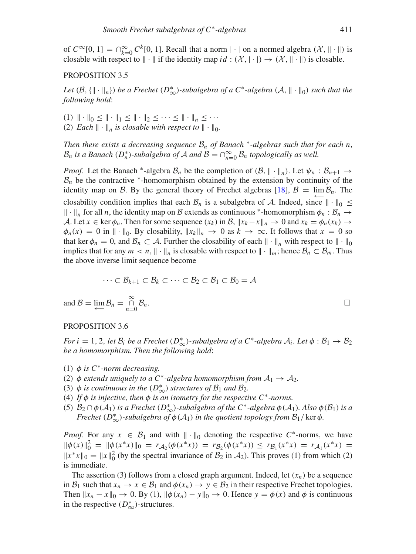of  $C^{\infty}[0, 1] = \bigcap_{k=0}^{\infty} C^k[0, 1]$ . Recall that a norm  $|\cdot|$  on a normed algebra  $(\mathcal{X}, \|\cdot\|)$  is closable with respect to  $\|\cdot\|$  if the identity map  $id : (\mathcal{X}, |\cdot|) \to (\mathcal{X}, \|\cdot\|)$  is closable.

## PROPOSITION 3.5

Let  $(\mathcal{B}, \{\|\cdot\|_n\})$  be a Frechet  $(D^*_{\infty})$ -subalgebra of a  $C^*$ -algebra  $(\mathcal{A}, \|\cdot\|_0)$  such that the *following hold*:

(1)  $\|\cdot\|_0 \leq \|\cdot\|_1 \leq \|\cdot\|_2 \leq \cdots \leq \|\cdot\|_n \leq \cdots$ (2) *Each*  $\|\cdot\|_n$  *is closable with respect to*  $\|\cdot\|_0$ *.* 

*Then there exists a decreasing sequence* B*<sup>n</sup> of Banach* <sup>∗</sup>*-algebras such that for each n*,  $\mathcal{B}_n$  *is a Banach* ( $D_n^*$ )-subalgebra of A and  $\mathcal{B} = \bigcap_{n=0}^{\infty} \mathcal{B}_n$  topologically as well.

*Proof.* Let the Banach \*-algebra  $\mathcal{B}_n$  be the completion of  $(\mathcal{B}, \|\cdot\|_n)$ . Let  $\psi_n : \mathcal{B}_{n+1} \to$  $B_n$  be the contractive <sup>\*</sup>-homomorphism obtained by the extension by continuity of the identity map on *B*. By the general theory of Frechet algebras [\[18\]](#page-20-6),  $B = \lim_{\leftarrow} B_n$ . The closability condition implies that each  $\mathcal{B}_n$  is a subalgebra of A. Indeed, since  $||\cdot||_0 \le$ *|∙ |<sub><i>n*</sub></sub> for all *n*, the identity map on *B* extends as continuous \*-homomorphism  $\phi_n$  :  $\mathcal{B}_n$  → A. Let  $x \in \text{ker } \phi_n$ . Then for some sequence  $(x_k)$  in  $\mathcal{B}, \|x_k - x\|_n \to 0$  and  $x_k = \phi_n(x_k) \to$  $\phi_n(x) = 0$  in  $\|\cdot\|_0$ . By closability,  $\|x_k\|_n \to 0$  as  $k \to \infty$ . It follows that  $x = 0$  so that ker  $\phi_n = 0$ , and  $\mathcal{B}_n \subset \mathcal{A}$ . Further the closability of each  $\|\cdot\|_n$  with respect to  $\|\cdot\|_0$ implies that for any  $m < n$ ,  $\|\cdot\|_n$  is closable with respect to  $\|\cdot\|_m$ ; hence  $\mathcal{B}_n \subset \mathcal{B}_m$ . Thus the above inverse limit sequence become

$$
\cdots \subset \mathcal{B}_{k+1} \subset \mathcal{B}_k \subset \cdots \subset \mathcal{B}_2 \subset \mathcal{B}_1 \subset \mathcal{B}_0 = \mathcal{A}
$$
  
and 
$$
\mathcal{B} = \lim_{n \to \infty} \mathcal{B}_n = \bigcap_{n=0}^{\infty} \mathcal{B}_n.
$$

## PROPOSITION 3.6

*For i* = 1, 2, *let*  $B_i$  *be a Frechet* ( $D^*_{\infty}$ )-subalgebra of a C<sup>∗</sup>-algebra  $A_i$ . Let  $\phi : B_1 \to B_2$ *be a homomorphism. Then the following hold*:

- (1) φ *is C*∗*-norm decreasing.*
- (2)  $\phi$  *extends uniquely to a C<sup>\*</sup>-algebra homomorphism from*  $A_1 \rightarrow A_2$ .
- (3)  $\phi$  *is continuous in the*  $(D^*_{\infty})$  *structures of*  $\mathcal{B}_1$  *and*  $\mathcal{B}_2$ *.*
- (4) *If*  $\phi$  *is injective, then*  $\phi$  *is an isometry for the respective*  $C^*$ *-norms.*
- (5)  $B_2 \cap \phi(A_1)$  *is a Frechet* ( $D^*_{\infty}$ )-subalgebra of the C<sup>\*</sup>-algebra  $\phi(A_1)$ . Also  $\phi(B_1)$  *is a Frechet* ( $D^*_{\infty}$ )-subalgebra of  $\phi(\mathcal{A}_1)$  *in the quotient topology from*  $\mathcal{B}_1$ / ker  $\phi$ .

*Proof.* For any  $x \in B_1$  and with  $\|\cdot\|_0$  denoting the respective  $C^*$ -norms, we have  $\|\phi(x)\|_0^2 = \|\phi(x^*x)\|_0 = r_{\mathcal{A}_2}(\phi(x^*x)) = r_{\mathcal{B}_2}(\phi(x^*x)) \le r_{\mathcal{B}_1}(x^*x) = r_{\mathcal{A}_1}(x^*x)$  $||x^*x||_0 = ||x||_0^2$  (by the spectral invariance of  $B_2$  in  $A_2$ ). This proves (1) from which (2) is immediate.

The assertion (3) follows from a closed graph argument. Indeed, let  $(x_n)$  be a sequence in  $\mathcal{B}_1$  such that  $x_n \to x \in \mathcal{B}_1$  and  $\phi(x_n) \to y \in \mathcal{B}_2$  in their respective Frechet topologies. Then  $||x_n - x||_0 \to 0$ . By (1),  $||\phi(x_n) - y||_0 \to 0$ . Hence  $y = \phi(x)$  and  $\phi$  is continuous in the respective  $(D^*_{\infty})$ -structures.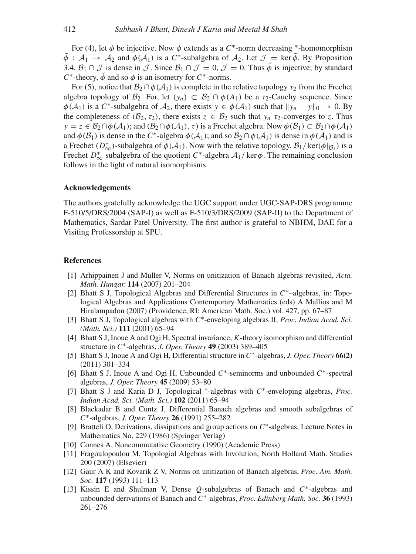For (4), let  $\phi$  be injective. Now  $\phi$  extends as a  $C^*$ -norm decreasing \*-homomorphism  $\tilde{\phi}$  :  $A_1 \rightarrow A_2$  and  $\phi(A_1)$  is a *C*<sup>\*</sup>-subalgebra of  $A_2$ . Let  $\mathcal{J} = \ker \tilde{\phi}$ . By Proposition 3.4,  $\mathcal{B}_1 \cap \mathcal{J}$  is dense in  $\mathcal{J}$ . Since  $\mathcal{B}_1 \cap \mathcal{J} = 0$ ,  $\mathcal{J} = 0$ . Thus  $\tilde{\phi}$  is injective; by standard *C*<sup>\*</sup>-theory,  $\tilde{\phi}$  and so  $\phi$  is an isometry for *C*<sup>\*</sup>-norms.

For (5), notice that  $\mathcal{B}_2 \cap \phi(\mathcal{A}_1)$  is complete in the relative topology  $\tau_2$  from the Frechet algebra topology of  $\mathcal{B}_2$ . For, let  $(y_n) \subset \mathcal{B}_2 \cap \phi(A_1)$  be a  $\tau_2$ -Cauchy sequence. Since  $\phi(\mathcal{A}_1)$  is a *C*<sup>\*</sup>-subalgebra of  $\mathcal{A}_2$ , there exists  $y \in \phi(\mathcal{A}_1)$  such that  $||y_n - y||_0 \to 0$ . By the completeness of  $(\mathcal{B}_2, \tau_2)$ , there exists  $z \in \mathcal{B}_2$  such that  $y_n \tau_2$ -converges to *z*. Thus  $y = z \in \mathcal{B}_2 \cap \phi(\mathcal{A}_1)$ ; and  $(\mathcal{B}_2 \cap \phi(\mathcal{A}_1), \tau)$  is a Frechet algebra. Now  $\phi(\mathcal{B}_1) \subset \mathcal{B}_2 \cap \phi(\mathcal{A}_1)$ and  $\phi(\mathcal{B}_1)$  is dense in the *C*<sup>∗</sup>-algebra  $\phi(\mathcal{A}_1)$ ; and so  $\mathcal{B}_2 \cap \phi(\mathcal{A}_1)$  is dense in  $\phi(\mathcal{A}_1)$  and is a Frechet ( $D^*_{\infty}$ )-subalgebra of  $\phi(A_1)$ . Now with the relative topology,  $B_1/\text{ker}(\phi|_{B_1})$  is a Frechet  $D^*_{\infty}$  subalgebra of the quotient  $C^*$ -algebra  $\mathcal{A}_1$ / ker  $\phi$ . The remaining conclusion follows in the light of natural isomorphisms.

## **Acknowledgements**

The authors gratefully acknowledge the UGC support under UGC-SAP-DRS programme F-510/5/DRS/2004 (SAP-I) as well as F-510/3/DRS/2009 (SAP-II) to the Department of Mathematics, Sardar Patel University. The first author is grateful to NBHM, DAE for a Visiting Professorship at SPU.

## **References**

- <span id="page-19-8"></span>[1] Arhippainen J and Muller V, Norms on unitization of Banach algebras revisited, *Acta. Math. Hungar.* **114** (2007) 201–204
- <span id="page-19-3"></span>[2] Bhatt S J, Topological Algebras and Differential Structures in *C*∗–algebras, in: Topological Algebras and Applications Contemporary Mathematics (eds) A Mallios and M Hiralampadou (2007) (Providence, RI: American Math. Soc.) vol. 427, pp. 67–87
- <span id="page-19-10"></span>[3] Bhatt S J, Topological algebras with *C*∗-enveloping algebras II, *Proc. Indian Acad. Sci. (Math. Sci.)* **111** (2001) 65–94
- <span id="page-19-1"></span>[4] Bhatt S J, Inoue A and Ogi H, Spectral invariance, *K*-theory isomorphism and differential structure in *C*∗-algebras, *J. Oper. Theory* **49** (2003) 389–405
- <span id="page-19-2"></span>[5] Bhatt S J, Inoue A and Ogi H, Differential structure in *C*∗-algebras, *J. Oper. Theory* **66(2)** (2011) 301–334
- [6] Bhatt S J, Inoue A and Ogi H, Unbounded *C*∗-seminorms and unbounded *C*∗-spectral algebras, *J. Oper. Theory* **45** (2009) 53–80
- <span id="page-19-9"></span>[7] Bhatt S J and Karia D J, Topological <sup>∗</sup>-algebras with *C*∗-enveloping algebras, *Proc. Indian Acad. Sci. (Math. Sci.)* **102** (2011) 65–94
- <span id="page-19-0"></span>[8] Blackadar B and Cuntz J, Differential Banach algebras and smooth subalgebras of *C*∗-algebras, *J. Oper. Theory* **26** (1991) 255–282
- <span id="page-19-4"></span>[9] Bratteli O, Derivations, dissipations and group actions on *C*∗-algebras, Lecture Notes in Mathematics No. 229 (1986) (Springer Verlag)
- <span id="page-19-5"></span>[10] Connes A, Noncommutative Geometry (1990) (Academic Press)
- <span id="page-19-6"></span>[11] Fragoulopoulou M, Topologial Algebras with Involution, North Holland Math. Studies 200 (2007) (Elsevier)
- <span id="page-19-7"></span>[12] Gaur A K and Kovarik Z V, Norms on unitization of Banach algebras, *Proc. Am. Math. Soc.* **117** (1993) 111–113
- <span id="page-19-11"></span>[13] Kissin E and Shulman V, Dense *Q*-subalgebras of Banach and *C*∗-algebras and unbounded derivations of Banach and *C*∗-algebras, *Proc. Edinberg Math. Soc.* **36** (1993) 261–276